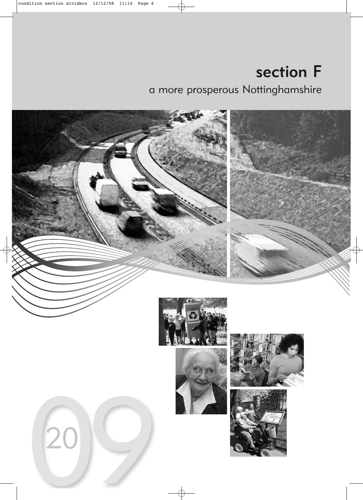# section F a more prosperous Nottinghamshire

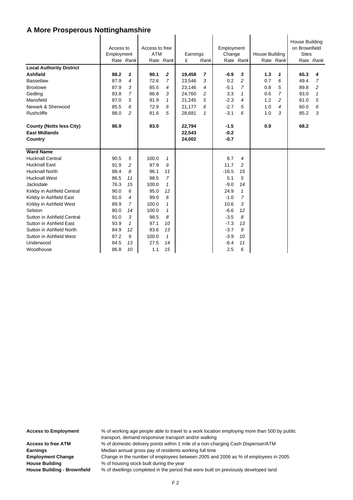|                                 | Access to<br>Employment |                | Access to free<br><b>ATM</b> |                | Earnings |              | Employment<br>Change |                | <b>House Building</b> |                | House Building<br>on Brownfield<br><b>Sites</b> |                |
|---------------------------------|-------------------------|----------------|------------------------------|----------------|----------|--------------|----------------------|----------------|-----------------------|----------------|-------------------------------------------------|----------------|
|                                 |                         | Rate Rank      |                              | Rate Rank      | £        | Rank         |                      | Rate Rank      |                       | Rate Rank      |                                                 | Rate Rank      |
|                                 |                         |                |                              |                |          |              |                      |                |                       |                |                                                 |                |
| <b>Local Authority District</b> |                         |                |                              |                |          |              |                      |                |                       |                |                                                 |                |
| <b>Ashfield</b>                 | 88.2                    | 1              | 90.1                         | $\overline{2}$ | 19,458   | 7            | $-0.9$               | 3              | 1.3                   | 1              | 65.3                                            | 4              |
| <b>Bassetlaw</b>                | 87.9                    | 4              | 72.6                         | $\overline{7}$ | 23,546   | 3            | 0.2                  | $\overline{a}$ | 0.7                   | 6              | 49.4                                            | $\overline{7}$ |
| <b>Broxtowe</b>                 | 87.9                    | 3              | 85.5                         | $\overline{4}$ | 23,146   | 4            | $-5.1$               | $\overline{7}$ | 0.8                   | 5              | 89.8                                            | $\overline{c}$ |
| Gedling                         | 83.8                    | $\overline{7}$ | 86.8                         | 3              | 24,760   | 2            | 3.3                  | $\mathbf{1}$   | 0.6                   | $\overline{7}$ | 93.0                                            | $\mathbf{1}$   |
| Mansfield                       | 87.0                    | 5              | 91.9                         | $\mathbf{1}$   | 21,245   | 5            | $-2.3$               | $\overline{4}$ | 1.2                   | $\overline{c}$ | 61.0                                            | 5              |
| Newark & Sherwood               | 85.5                    | 6              | 72.9                         | 6              | 21,177   | 6            | $-2.7$               | 5              | 1.0                   | 4              | 60.0                                            | 6              |
| Rushcliffe                      | 88.0                    | $\overline{c}$ | 81.6                         | 5              | 28,681   | $\mathbf{1}$ | $-3.1$               | 6              | 1.0                   | 3              | 85.2                                            | 3              |
|                                 |                         |                |                              |                |          |              |                      |                |                       |                |                                                 |                |
| <b>County (Notts less City)</b> | 86.9                    |                | 83.0                         |                | 22,794   |              | $-1.5$               |                | 0.9                   |                | 68.2                                            |                |
| <b>East Midlands</b>            |                         |                |                              |                | 22,543   |              | $-0.2$               |                |                       |                |                                                 |                |
| Country                         |                         |                |                              |                | 24,002   |              | $-0.7$               |                |                       |                |                                                 |                |
| <b>Ward Name</b>                |                         |                |                              |                |          |              |                      |                |                       |                |                                                 |                |
| <b>Hucknall Central</b>         | 90.5                    | 5              | 100.0                        | $\mathcal I$   |          |              | 8.7                  | 4              |                       |                |                                                 |                |
| <b>Hucknall East</b>            | 91.9                    | 2              | 97.9                         | 9              |          |              | 11.7                 | $\overline{c}$ |                       |                |                                                 |                |
| <b>Hucknall North</b>           | 88.4                    | 8              | 96.1                         | 11             |          |              | $-16.5$              | 15             |                       |                |                                                 |                |
| <b>Hucknall West</b>            | 86.5                    | 11             | 98.5                         | $\overline{7}$ |          |              | 5.1                  | 5              |                       |                |                                                 |                |
| Jacksdale                       | 76.3                    | 15             | 100.0                        | 1              |          |              | $-9.0$               | 14             |                       |                |                                                 |                |
| Kirkby in Ashfield Central      | 90.0                    | 6              | 95.0                         | 12             |          |              | 24.9                 | $\mathcal I$   |                       |                |                                                 |                |
| Kirkby in Ashfield East         | 91.0                    | 4              | 99.0                         | 6              |          |              | $-1.0$               | $\overline{7}$ |                       |                |                                                 |                |
| Kirkby in Ashfield West         | 89.9                    | $\overline{7}$ | 100.0                        | $\mathbf{1}$   |          |              | 10.6                 | 3              |                       |                |                                                 |                |
| Selston                         | 80.0                    | 14             | 100.0                        | $\mathbf{1}$   |          |              | $-6.6$               | 12             |                       |                |                                                 |                |
| Sutton in Ashfield Central      | 91.0                    | 3              | 98.5                         | 8              |          |              | $-3.5$               | 8              |                       |                |                                                 |                |
| Sutton in Ashfield East         | 93.9                    | $\mathbf{1}$   | 97.1                         | 10             |          |              | $-7.3$               | 13             |                       |                |                                                 |                |
| Sutton in Ashfield North        | 84.9                    | 12             | 93.6                         | 13             |          |              | $-3.7$               | 9              |                       |                |                                                 |                |
| Sutton in Ashfield West         | 87.2                    | 9              | 100.0                        | $\mathbf{1}$   |          |              | $-3.9$               | 10             |                       |                |                                                 |                |
| Underwood                       | 84.5                    | 13             | 27.5                         | 14             |          |              | $-6.4$               | 11             |                       |                |                                                 |                |
| Woodhouse                       | 86.8                    | 10             | 1.1                          | 15             |          |              | 2.5                  | 6              |                       |                |                                                 |                |
|                                 |                         |                |                              |                |          |              |                      |                |                       |                |                                                 |                |

**Access to Employment** % of working age people able to travel to a work location employing more than 500 by public transport, demand responsive transport and/or walking Access to free ATM  $\%$  of domestic delivery points within 1 mile of a non-charging Cash Dispenser/ATM **Earnings** Median annual gross pay of residents working full time **Employment Change** Change in the number of employees between 2005 and 2006 as % of employees in 2005 **House Building** % of housing stock built during the year **House Building - Brownfield** % of dwellings completed in the period that were built on previously developed land

F 2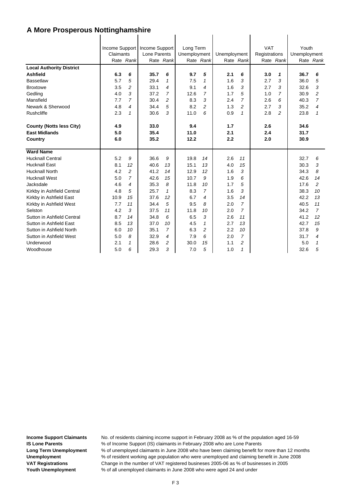| <b>Local Authority District</b><br><b>Ashfield</b><br><b>Bassetlaw</b><br><b>Broxtowe</b><br>Gedling<br>Mansfield<br>Newark & Sherwood                                                                                                                                                                                                                                     | Claimants<br>6.3<br>5.7<br>3.5<br>4.0<br>7.7<br>4.8                                                    | Rate Rank<br>6<br>5<br>$\overline{c}$<br>3<br>$\overline{7}$<br>$\overline{4}$                          | Income Support   Income Support<br>Lone Parents<br>35.7<br>29.4<br>33.1<br>37.2<br>30.4<br>34.4                      | Rate Rank<br>6<br>$\mathbf{1}$<br>4<br>$\overline{7}$<br>2<br>5                          | Long Term<br>Unemployment<br>9.7<br>7.5<br>9.1<br>12.6<br>8.3<br>8.2                                         | Rate Rank<br>5<br>1<br>4<br>7<br>3<br>2                                                    | Unemployment<br>2.1<br>1.6<br>1.6<br>1.7<br>2.4<br>1.3                                                | Rate Rank<br>6<br>3<br>3<br>5<br>$\overline{7}$<br>2                                                                              | <b>VAT</b><br>Registrations<br>3.0<br>2.7<br>2.7<br>1.0<br>2.6<br>2.7 | Rate Rank<br>1<br>3<br>3<br>7<br>6<br>3 | Youth<br>Unemployment<br>36.7<br>36.0<br>32.6<br>30.9<br>40.3<br>35.2                                               | Rate Rank<br>6<br>5<br>3<br>2<br>$\overline{7}$<br>4                                       |
|----------------------------------------------------------------------------------------------------------------------------------------------------------------------------------------------------------------------------------------------------------------------------------------------------------------------------------------------------------------------------|--------------------------------------------------------------------------------------------------------|---------------------------------------------------------------------------------------------------------|----------------------------------------------------------------------------------------------------------------------|------------------------------------------------------------------------------------------|--------------------------------------------------------------------------------------------------------------|--------------------------------------------------------------------------------------------|-------------------------------------------------------------------------------------------------------|-----------------------------------------------------------------------------------------------------------------------------------|-----------------------------------------------------------------------|-----------------------------------------|---------------------------------------------------------------------------------------------------------------------|--------------------------------------------------------------------------------------------|
| Rushcliffe                                                                                                                                                                                                                                                                                                                                                                 | 2.3                                                                                                    | $\mathbf{1}$                                                                                            | 30.6                                                                                                                 | 3                                                                                        | 11.0                                                                                                         | 6                                                                                          | 0.9                                                                                                   | 1                                                                                                                                 | 2.8                                                                   | 2                                       | 23.8                                                                                                                | 1                                                                                          |
| <b>County (Notts less City)</b><br><b>East Midlands</b><br>Country                                                                                                                                                                                                                                                                                                         | 4.9<br>5.0<br>6.0                                                                                      |                                                                                                         | 33.0<br>35.4<br>35.2                                                                                                 |                                                                                          | 9.4<br>11.0<br>12.2                                                                                          |                                                                                            | 1.7<br>2.1<br>2.2                                                                                     |                                                                                                                                   | 2.6<br>2.4<br>2.0                                                     |                                         | 34.6<br>31.7<br>30.9                                                                                                |                                                                                            |
| <b>Ward Name</b><br><b>Hucknall Central</b><br><b>Hucknall East</b><br><b>Hucknall North</b><br><b>Hucknall West</b><br>Jacksdale<br>Kirkby in Ashfield Central<br>Kirkby in Ashfield East<br>Kirkby in Ashfield West<br>Selston<br>Sutton in Ashfield Central<br>Sutton in Ashfield East<br>Sutton in Ashfield North<br>Sutton in Ashfield West<br>Underwood<br>Woodhouse | 5.2<br>8.1<br>4.2<br>5.0<br>4.6<br>4.8<br>10.9<br>7.7<br>4.2<br>8.7<br>8.5<br>6.0<br>5.0<br>2.1<br>5.0 | 9<br>12<br>$\overline{2}$<br>$\overline{7}$<br>4<br>5<br>15<br>11<br>3<br>14<br>13<br>10<br>8<br>1<br>6 | 36.6<br>40.6<br>41.2<br>42.6<br>35.3<br>25.7<br>37.6<br>34.4<br>37.5<br>34.8<br>37.0<br>35.1<br>32.9<br>28.6<br>29.3 | 9<br>13<br>14<br>15<br>8<br>$\mathbf{1}$<br>12<br>5<br>11<br>6<br>10<br>7<br>4<br>2<br>3 | 19.8<br>15.1<br>12.9<br>10.7<br>11.8<br>8.3<br>6.7<br>9.5<br>11.8<br>6.5<br>4.5<br>6.3<br>7.9<br>30.0<br>7.0 | 14<br>13<br>12<br>9<br>10<br>$\overline{7}$<br>4<br>8<br>10<br>3<br>1<br>2<br>6<br>15<br>5 | 2.6<br>4.0<br>1.6<br>1.9<br>1.7<br>1.6<br>3.5<br>2.0<br>2.0<br>2.6<br>2.7<br>2.2<br>2.0<br>1.1<br>1.0 | 11<br>15<br>3<br>6<br>5<br>3<br>14<br>$\overline{7}$<br>$\overline{7}$<br>11<br>13<br>10<br>$\overline{7}$<br>$\overline{c}$<br>1 |                                                                       |                                         | 32.7<br>30.3<br>34.3<br>42.6<br>17.6<br>38.3<br>42.2<br>40.5<br>34.2<br>41.2<br>42.7<br>37.8<br>31.7<br>5.0<br>32.6 | 6<br>3<br>8<br>14<br>$\overline{c}$<br>10<br>13<br>11<br>7<br>12<br>15<br>9<br>4<br>1<br>5 |

 $\overline{1}$ 

 $\overline{1}$ 

 $\mathbf{I}$ 

 $\overline{1}$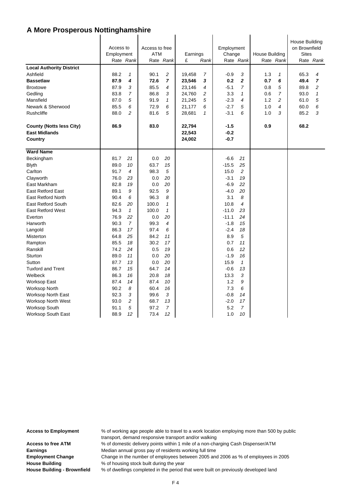| <b>Local Authority District</b><br>Ashfield<br><b>Bassetlaw</b><br><b>Broxtowe</b> | Access to<br>Employment<br>Rate Rank<br>88.2<br>87.9<br>87.9<br>83.8 | $\mathbf{1}$<br>4<br>3<br>$\overline{7}$ | Access to free<br><b>ATM</b><br>90.1<br>72.6<br>85.5<br>86.8 | Rate Rank<br>$\overline{c}$<br>$\overline{7}$<br>4<br>3 | Earnings<br>£<br>19,458<br>23,546<br>23,146 | Rank<br>$\overline{7}$<br>3<br>4<br>$\overline{c}$ | Employment<br>Change<br>-0.9<br>0.2<br>$-5.1$<br>3.3 | Rate Rank<br>3<br>$\boldsymbol{2}$<br>7<br>$\mathbf{1}$ | <b>House Building</b><br>1.3<br>0.7<br>0.8<br>0.6 | Rate Rank<br>1<br>6<br>5<br>$\overline{7}$ | <b>House Building</b><br>on Brownfield<br><b>Sites</b><br>65.3<br>49.4<br>89.8<br>93.0 | Rate Rank<br>4<br>$\overline{7}$<br>$\overline{\mathbf{c}}$<br>$\mathbf{1}$ |
|------------------------------------------------------------------------------------|----------------------------------------------------------------------|------------------------------------------|--------------------------------------------------------------|---------------------------------------------------------|---------------------------------------------|----------------------------------------------------|------------------------------------------------------|---------------------------------------------------------|---------------------------------------------------|--------------------------------------------|----------------------------------------------------------------------------------------|-----------------------------------------------------------------------------|
| Gedling<br>Mansfield                                                               | 87.0                                                                 | 5                                        | 91.9                                                         | $\mathbf{1}$                                            | 24,760<br>21,245                            | 5                                                  | $-2.3$                                               | $\overline{4}$                                          | 1.2                                               | 2                                          | 61.0                                                                                   | 5                                                                           |
| Newark & Sherwood                                                                  | 85.5                                                                 | 6                                        | 72.9                                                         | 6                                                       | 21,177                                      | 6                                                  | $-2.7$                                               | 5                                                       | 1.0                                               | 4                                          | 60.0                                                                                   | 6                                                                           |
| Rushcliffe                                                                         | 88.0                                                                 | $\overline{c}$                           | 81.6                                                         | 5                                                       | 28,681                                      | $\mathbf{1}$                                       | $-3.1$                                               | 6                                                       | 1.0                                               | 3                                          | 85.2                                                                                   | 3                                                                           |
|                                                                                    |                                                                      |                                          |                                                              |                                                         |                                             |                                                    |                                                      |                                                         |                                                   |                                            |                                                                                        |                                                                             |
| <b>County (Notts less City)</b><br><b>East Midlands</b><br>Country                 | 86.9                                                                 |                                          | 83.0                                                         |                                                         | 22,794<br>22,543<br>24,002                  |                                                    | $-1.5$<br>$-0.2$<br>$-0.7$                           |                                                         | 0.9                                               |                                            | 68.2                                                                                   |                                                                             |
| <b>Ward Name</b>                                                                   |                                                                      |                                          |                                                              |                                                         |                                             |                                                    |                                                      |                                                         |                                                   |                                            |                                                                                        |                                                                             |
| Beckingham                                                                         | 81.7                                                                 | 21                                       | 0.0                                                          | 20                                                      |                                             |                                                    | $-6.6$                                               | 21                                                      |                                                   |                                            |                                                                                        |                                                                             |
| <b>Blyth</b>                                                                       | 89.0                                                                 | 10                                       | 63.7                                                         | 15                                                      |                                             |                                                    | $-15.5$                                              | 25                                                      |                                                   |                                            |                                                                                        |                                                                             |
| Carlton                                                                            | 91.7                                                                 | 4                                        | 98.3                                                         | 5                                                       |                                             |                                                    | 15.0                                                 | $\overline{c}$                                          |                                                   |                                            |                                                                                        |                                                                             |
| Clayworth                                                                          | 76.0                                                                 | 23                                       | 0.0                                                          | 20                                                      |                                             |                                                    | $-3.1$                                               | 19                                                      |                                                   |                                            |                                                                                        |                                                                             |
| East Markham                                                                       | 82.8                                                                 | 19                                       | 0.0                                                          | 20                                                      |                                             |                                                    | $-6.9$                                               | 22                                                      |                                                   |                                            |                                                                                        |                                                                             |
| <b>East Retford East</b>                                                           | 89.1                                                                 | 9                                        | 92.5                                                         | 9                                                       |                                             |                                                    | $-4.0$                                               | 20                                                      |                                                   |                                            |                                                                                        |                                                                             |
| <b>East Retford North</b>                                                          | 90.4                                                                 | 6                                        | 96.3                                                         | 8                                                       |                                             |                                                    | 3.1                                                  | 8                                                       |                                                   |                                            |                                                                                        |                                                                             |
| <b>East Retford South</b>                                                          | 82.6                                                                 | 20                                       | 100.0                                                        | $\mathbf 1$                                             |                                             |                                                    | 10.8                                                 | $\overline{4}$                                          |                                                   |                                            |                                                                                        |                                                                             |
| <b>East Retford West</b>                                                           | 94.3                                                                 | $\mathbf{1}$                             | 100.0                                                        | $\mathbf{1}$                                            |                                             |                                                    | $-11.0$                                              | 23                                                      |                                                   |                                            |                                                                                        |                                                                             |
| Everton                                                                            | 76.9                                                                 | 22                                       | 0.0                                                          | 20                                                      |                                             |                                                    | $-11.1$                                              | 24                                                      |                                                   |                                            |                                                                                        |                                                                             |
| Harworth                                                                           | 90.3                                                                 | $\overline{7}$                           | 99.3                                                         | 4                                                       |                                             |                                                    | $-1.8$                                               | 15                                                      |                                                   |                                            |                                                                                        |                                                                             |
| Langold                                                                            | 86.3                                                                 | 17                                       | 97.4                                                         | 6                                                       |                                             |                                                    | $-2.4$                                               | 18                                                      |                                                   |                                            |                                                                                        |                                                                             |
| <b>Misterton</b>                                                                   | 64.8                                                                 | 25                                       | 84.2                                                         | 11                                                      |                                             |                                                    | 8.9                                                  | 5                                                       |                                                   |                                            |                                                                                        |                                                                             |
| Rampton                                                                            | 85.5                                                                 | 18                                       | 30.2                                                         | 17                                                      |                                             |                                                    | 0.7                                                  | 11                                                      |                                                   |                                            |                                                                                        |                                                                             |
| Ranskill                                                                           | 74.2                                                                 | 24                                       | 0.5                                                          | 19                                                      |                                             |                                                    | 0.6                                                  | 12                                                      |                                                   |                                            |                                                                                        |                                                                             |
| Sturton                                                                            | 89.0                                                                 | 11                                       | 0.0                                                          | 20                                                      |                                             |                                                    | $-1.9$                                               | 16                                                      |                                                   |                                            |                                                                                        |                                                                             |
| Sutton                                                                             | 87.7                                                                 | 13                                       | 0.0                                                          | 20                                                      |                                             |                                                    | 15.9                                                 | $\mathbf{1}$                                            |                                                   |                                            |                                                                                        |                                                                             |
| <b>Tuxford and Trent</b>                                                           | 86.7                                                                 | 15                                       | 64.7                                                         | 14                                                      |                                             |                                                    | -0.6                                                 | 13                                                      |                                                   |                                            |                                                                                        |                                                                             |
| Welbeck                                                                            | 86.3                                                                 | 16                                       | 20.8                                                         | 18                                                      |                                             |                                                    | 13.3                                                 | 3                                                       |                                                   |                                            |                                                                                        |                                                                             |
| <b>Worksop East</b>                                                                | 87.4                                                                 | 14                                       | 87.4                                                         | 10                                                      |                                             |                                                    | 1.2                                                  | 9                                                       |                                                   |                                            |                                                                                        |                                                                             |
| <b>Worksop North</b>                                                               | 90.2                                                                 | 8                                        | 60.4                                                         | 16                                                      |                                             |                                                    | 7.3                                                  | 6                                                       |                                                   |                                            |                                                                                        |                                                                             |
| Worksop North East                                                                 | 92.3                                                                 | 3                                        | 99.6                                                         | 3                                                       |                                             |                                                    | $-0.8$                                               | 14                                                      |                                                   |                                            |                                                                                        |                                                                             |
| <b>Worksop North West</b>                                                          | 93.0                                                                 | 2                                        | 68.7                                                         | 13                                                      |                                             |                                                    | $-2.0$                                               | 17                                                      |                                                   |                                            |                                                                                        |                                                                             |
| <b>Worksop South</b>                                                               | 91.1                                                                 | 5                                        | 97.2                                                         | 7                                                       |                                             |                                                    | 5.2                                                  | 7                                                       |                                                   |                                            |                                                                                        |                                                                             |
| Worksop South East                                                                 | 88.9                                                                 | 12                                       | 73.4                                                         | 12                                                      |                                             |                                                    | 1.0                                                  | 10                                                      |                                                   |                                            |                                                                                        |                                                                             |

**Access to Employment** % of working age people able to travel to a work location employing more than 500 by public transport, demand responsive transport and/or walking Access to free ATM % of domestic delivery points within 1 mile of a non-charging Cash Dispenser/ATM **Earnings** Median annual gross pay of residents working full time

**Employment Change** Change in the number of employees between 2005 and 2006 as % of employees in 2005 **House Building** % of housing stock built during the year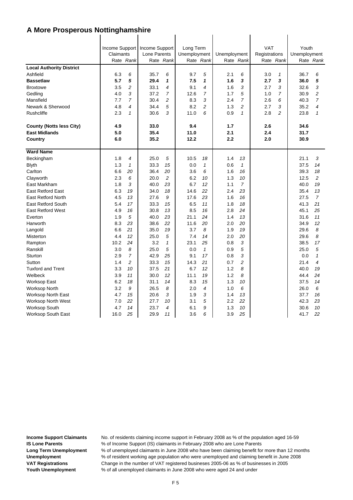|                                 | Income Support<br>Claimants |                | Income Support<br>Lone Parents |                | Long Term<br>Unemployment |                | Unemployment |                | <b>VAT</b><br>Registrations |                | Youth<br>Unemployment |                |
|---------------------------------|-----------------------------|----------------|--------------------------------|----------------|---------------------------|----------------|--------------|----------------|-----------------------------|----------------|-----------------------|----------------|
|                                 |                             | Rate Rank      |                                | Rate Rank      |                           | Rate Rank      |              | Rate Rank      |                             | Rate Rank      |                       | Rate Rank      |
| <b>Local Authority District</b> |                             |                |                                |                |                           |                |              |                |                             |                |                       |                |
| Ashfield                        | 6.3                         | 6              | 35.7                           | 6              | 9.7                       | 5              | 2.1          | 6              | 3.0                         | $\mathcal I$   | 36.7                  | 6              |
| <b>Bassetlaw</b>                | 5.7                         | 5              | 29.4                           | 1              | 7.5                       | 1              | 1.6          | 3              | 2.7                         | 3              | 36.0                  | 5              |
| <b>Broxtowe</b>                 | 3.5                         | $\overline{c}$ | 33.1                           | 4              | 9.1                       | $\overline{4}$ | 1.6          | 3              | 2.7                         | 3              | 32.6                  | 3              |
| Gedling                         | 4.0                         | 3              | 37.2                           | $\overline{7}$ | 12.6                      | $\overline{7}$ | 1.7          | 5              | 1.0                         | $\overline{7}$ | 30.9                  | $\overline{c}$ |
| Mansfield                       | 7.7                         | $\overline{7}$ | 30.4                           | 2              | 8.3                       | 3              | 2.4          | $\overline{7}$ | 2.6                         | 6              | 40.3                  | $\overline{7}$ |
| Newark & Sherwood               | 4.8                         | 4              | 34.4                           | 5              | 8.2                       | $\overline{a}$ | 1.3          | $\overline{2}$ | 2.7                         | 3              | 35.2                  | 4              |
| Rushcliffe                      | 2.3                         | 1              | 30.6                           | 3              | 11.0                      | 6              | 0.9          | $\mathbf{1}$   | 2.8                         | $\overline{c}$ | 23.8                  | 1              |
| <b>County (Notts less City)</b> | 4.9                         |                | 33.0                           |                | 9.4                       |                | 1.7          |                | 2.6                         |                | 34.6                  |                |
| <b>East Midlands</b>            | 5.0                         |                | 35.4                           |                | 11.0                      |                | 2.1          |                | 2.4                         |                | 31.7                  |                |
| Country                         | 6.0                         |                | 35.2                           |                | 12.2                      |                | 2.2          |                | 2.0                         |                | 30.9                  |                |
|                                 |                             |                |                                |                |                           |                |              |                |                             |                |                       |                |
| <b>Ward Name</b>                |                             |                |                                |                |                           |                |              |                |                             |                |                       |                |
| Beckingham                      | 1.8                         | $\overline{4}$ | 25.0                           | 5              | 10.5                      | 18             | 1.4          | 13             |                             |                | 21.1                  | 3              |
| <b>Blyth</b>                    | 1.3                         | $\mathbf{1}$   | 33.3                           | 15             | 0.0                       | $\mathbf{1}$   | 0.6          | $\mathbf{1}$   |                             |                | 37.5                  | 14             |
| Carlton                         | 6.6                         | 20             | 36.4                           | 20             | 3.6                       | 6              | 1.6          | 16             |                             |                | 39.3                  | 18             |
| Clayworth                       | 2.3                         | 6              | 20.0                           | 2              | 6.2                       | 10             | 1.3          | 10             |                             |                | 12.5                  | 2              |
| East Markham                    | 1.8                         | 3              | 40.0                           | 23             | 6.7                       | 12             | 1.1          | $\overline{7}$ |                             |                | 40.0                  | 19             |
| <b>East Retford East</b>        | 6.3                         | 19             | 34.0                           | 18             | 14.6                      | 22             | 2.4          | 23             |                             |                | 35.4                  | 13             |
| <b>East Retford North</b>       | 4.5                         | 13             | 27.6                           | 9              | 17.6                      | 23             | 1.6          | 16             |                             |                | 27.5                  | $\overline{7}$ |
| <b>East Retford South</b>       | 5.4                         | 17             | 33.3                           | 15             | 6.5                       | 11             | 1.8          | 18             |                             |                | 41.3                  | 21             |
| <b>East Retford West</b>        | 4.9                         | 16             | 30.8                           | 13             | 8.5                       | 16             | 2.8          | 24             |                             |                | 45.1                  | 25             |
| Everton                         | 1.9                         | 5              | 40.0                           | 23             | 21.1                      | 24             | 1.4          | 13             |                             |                | 31.6                  | 11             |
| Harworth                        | 8.3                         | 23             | 38.6                           | 22             | 11.6                      | 20             | 2.0          | 20             |                             |                | 34.9                  | 12             |
| Langold                         | 6.6                         | 21             | 35.0                           | 19             | 3.7                       | 8              | 1.9          | 19             |                             |                | 29.6                  | 8              |
| Misterton                       | 4.4                         | 12             | 25.0                           | 5              | 7.4                       | 14             | 2.0          | 20             |                             |                | 29.6                  | 8              |
| Rampton                         | 10.2                        | 24             | 3.2                            | $\mathbf{1}$   | 23.1                      | 25             | 0.8          | 3              |                             |                | 38.5                  | 17             |
| Ranskill                        | 3.0                         | 8              | 25.0                           | 5              | 0.0                       | $\mathbf{1}$   | 0.9          | 5              |                             |                | 25.0                  | 5              |
| <b>Sturton</b>                  | 2.9                         | $\overline{7}$ | 42.9                           | 25             | 9.1                       | 17             | 0.8          | 3              |                             |                | 0.0                   | $\mathbf{1}$   |
| Sutton                          | 1.4                         | $\overline{c}$ | 33.3                           | 15             | 14.3                      | 21             | 0.7          | $\overline{c}$ |                             |                | 21.4                  | 4              |
| <b>Tuxford and Trent</b>        | 3.3                         | 10             | 37.5                           | 21             | 6.7                       | 12             | 1.2          | 8              |                             |                | 40.0                  | 19             |
| Welbeck                         | 3.9                         | 11             | 30.0                           | 12             | 11.1                      | 19             | 1.2          | 8              |                             |                | 44.4                  | 24             |
| Worksop East                    | 6.2                         | 18             | 31.1                           | 14             | 8.3                       | 15             | 1.3          | 10             |                             |                | 37.5                  | 14             |
| Worksop North                   | 3.2                         | 9              | 26.5                           | 8              | 2.0                       | 4              | 1.0          | 6              |                             |                | 26.0                  | 6              |
| <b>Worksop North East</b>       | 4.7                         | 15             | 20.6                           | 3              | 1.9                       | 3              | 1.4          | 13             |                             |                | 37.7                  | 16             |
| Worksop North West              | 7.0                         | 22             | 27.7                           | 10             | 3.1                       | 5              | 2.2          | 22             |                             |                | 42.3                  | 23             |
| Worksop South                   | 4.7                         | 14             | 23.7                           | 4              | 6.1                       | 9              | 1.3          | 10             |                             |                | 30.6                  | 10             |
| <b>Worksop South East</b>       | 16.0                        | 25             | 29.9                           | 11             | 3.6                       | 6              | 3.9          | 25             |                             |                | 41.7                  | 22             |

 $\overline{1}$ 

 $\overline{1}$ 

 $\mathbf{I}$ 

 $\overline{1}$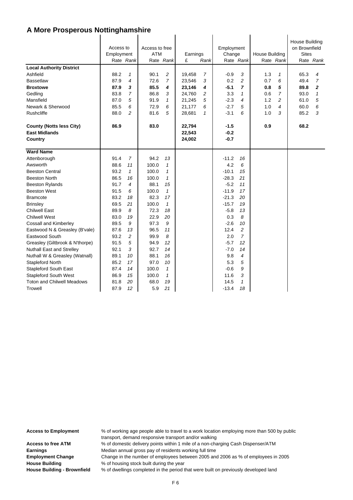|                                   | Access to<br>Employment | Rate Rank      | Access to free<br><b>ATM</b> | Rate Rank      | Earnings<br>£ | Rank         | Employment<br>Change | Rate Rank      | <b>House Building</b> | Rate Rank      | House Building<br>on Brownfield<br><b>Sites</b> | Rate Rank      |
|-----------------------------------|-------------------------|----------------|------------------------------|----------------|---------------|--------------|----------------------|----------------|-----------------------|----------------|-------------------------------------------------|----------------|
| <b>Local Authority District</b>   |                         |                |                              |                |               |              |                      |                |                       |                |                                                 |                |
| Ashfield                          | 88.2                    | $\mathbf{1}$   | 90.1                         | $\overline{c}$ | 19,458        | 7            | $-0.9$               | 3              | 1.3                   | $\mathbf{1}$   | 65.3                                            | 4              |
| <b>Bassetlaw</b>                  | 87.9                    | 4              | 72.6                         | $\overline{7}$ | 23,546        | 3            | 0.2                  | $\overline{c}$ | 0.7                   | 6              | 49.4                                            | $\overline{7}$ |
| <b>Broxtowe</b>                   | 87.9                    | 3              | 85.5                         | 4              | 23,146        | 4            | $-5.1$               | $\overline{7}$ | 0.8                   | 5              | 89.8                                            | $\mathbf{z}$   |
| Gedling                           | 83.8                    | $\overline{7}$ | 86.8                         | 3              | 24,760        | 2            | 3.3                  | 1              | 0.6                   | $\overline{7}$ | 93.0                                            | $\mathbf{1}$   |
| Mansfield                         | 87.0                    | 5              | 91.9                         | $\mathbf{1}$   | 21,245        | 5            | $-2.3$               | 4              | 1.2                   | $\overline{c}$ | 61.0                                            | 5              |
| Newark & Sherwood                 | 85.5                    | 6              | 72.9                         | 6              | 21,177        | 6            | $-2.7$               | 5              | 1.0                   | 4              | 60.0                                            | 6              |
| <b>Rushcliffe</b>                 | 88.0                    | $\overline{c}$ | 81.6                         | 5              | 28,681        | $\mathbf{1}$ | $-3.1$               | 6              | 1.0                   | 3              | 85.2                                            | 3              |
| <b>County (Notts less City)</b>   | 86.9                    |                | 83.0                         |                | 22,794        |              | $-1.5$               |                | 0.9                   |                | 68.2                                            |                |
| <b>East Midlands</b>              |                         |                |                              |                | 22,543        |              | $-0.2$               |                |                       |                |                                                 |                |
| Country                           |                         |                |                              |                | 24,002        |              | $-0.7$               |                |                       |                |                                                 |                |
| <b>Ward Name</b>                  |                         |                |                              |                |               |              |                      |                |                       |                |                                                 |                |
| Attenborough                      | 91.4                    | $\overline{7}$ | 94.2                         | 13             |               |              | $-11.2$              | 16             |                       |                |                                                 |                |
| Awsworth                          | 88.6                    | 11             | 100.0                        | $\mathbf{1}$   |               |              | 4.2                  | 6              |                       |                |                                                 |                |
| <b>Beeston Central</b>            | 93.2                    | $\mathbf{1}$   | 100.0                        | 1              |               |              | $-10.1$              | 15             |                       |                |                                                 |                |
| <b>Beeston North</b>              | 86.5                    | 16             | 100.0                        | $\mathbf{1}$   |               |              | $-28.3$              | 21             |                       |                |                                                 |                |
| <b>Beeston Rylands</b>            | 91.7                    | 4              | 88.1                         | 15             |               |              | $-5.2$               | 11             |                       |                |                                                 |                |
| <b>Beeston West</b>               | 91.5                    | 6              | 100.0                        | $\mathbf{1}$   |               |              | $-11.9$              | 17             |                       |                |                                                 |                |
| <b>Bramcote</b>                   | 83.2                    | 18             | 82.3                         | 17             |               |              | $-21.3$              | 20             |                       |                |                                                 |                |
| <b>Brinsley</b>                   | 69.5                    | 21             | 100.0                        | $\mathbf{1}$   |               |              | $-15.7$              | 19             |                       |                |                                                 |                |
| <b>Chilwell East</b>              | 89.9                    | 8              | 72.3                         | 18             |               |              | $-5.8$               | 13             |                       |                |                                                 |                |
| <b>Chilwell West</b>              | 83.0                    | 19             | 22.9                         | 20             |               |              | 0.3                  | 8              |                       |                |                                                 |                |
| <b>Cossall and Kimberley</b>      | 89.5                    | 9              | 97.3                         | 9              |               |              | $-2.6$               | 10             |                       |                |                                                 |                |
| Eastwood N & Greasley (B'vale)    | 87.6                    | 13             | 96.5                         | 11             |               |              | 12.4                 | 2              |                       |                |                                                 |                |
| Eastwood South                    | 93.2                    | $\overline{c}$ | 99.9                         | 8              |               |              | 2.0                  | $\overline{7}$ |                       |                |                                                 |                |
| Greasley (Giltbrook & N'thorpe)   | 91.5                    | 5              | 94.9                         | 12             |               |              | $-5.7$               | 12             |                       |                |                                                 |                |
| <b>Nuthall East and Strelley</b>  | 92.1                    | 3              | 92.7                         | 14             |               |              | $-7.0$               | 14             |                       |                |                                                 |                |
| Nuthall W & Greasley (Watnall)    | 89.1                    | 10             | 88.1                         | 16             |               |              | 9.8                  | 4              |                       |                |                                                 |                |
| Stapleford North                  | 85.2                    | 17             | 97.0                         | 10             |               |              | 5.3                  | 5              |                       |                |                                                 |                |
| Stapleford South East             | 87.4                    | 14             | 100.0                        | $\mathbf{1}$   |               |              | $-0.6$               | 9              |                       |                |                                                 |                |
| <b>Stapleford South West</b>      | 86.9                    | 15             | 100.0                        | $\mathbf{1}$   |               |              | 11.6                 | 3              |                       |                |                                                 |                |
| <b>Toton and Chilwell Meadows</b> | 81.8                    | 20             | 68.0                         | 19             |               |              | 14.5                 | $\mathbf{1}$   |                       |                |                                                 |                |
| Trowell                           | 87.9                    | 12             | 5.9                          | 21             |               |              | $-13.4$              | 18             |                       |                |                                                 |                |

**Access to Employment** % of working age people able to travel to a work location employing more than 500 by public transport, demand responsive transport and/or walking Access to free ATM % of domestic delivery points within 1 mile of a non-charging Cash Dispenser/ATM **Earnings** Median annual gross pay of residents working full time

**Employment Change** Change in the number of employees between 2005 and 2006 as % of employees in 2005 **House Building** % of housing stock built during the year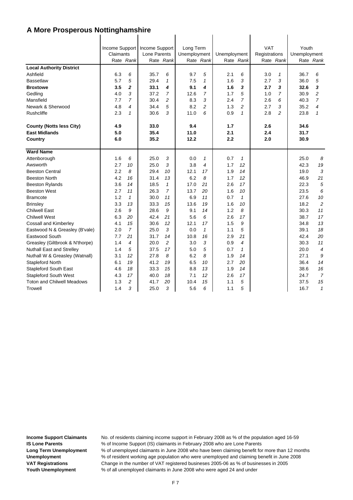|                                   | Income Support<br>Claimants |                | Income Support<br>Lone Parents |                | Long Term<br>Unemployment |                | Unemployment |                | <b>VAT</b><br>Registrations |                | Youth<br>Unemployment |                |
|-----------------------------------|-----------------------------|----------------|--------------------------------|----------------|---------------------------|----------------|--------------|----------------|-----------------------------|----------------|-----------------------|----------------|
|                                   |                             | Rate Rank      |                                | Rate Rank      |                           | Rate Rank      |              | Rate Rank      |                             | Rate Rank      |                       | Rate Rank      |
| <b>Local Authority District</b>   |                             |                |                                |                |                           |                |              |                |                             |                |                       |                |
| Ashfield                          | 6.3                         | 6              | 35.7                           | 6              | 9.7                       | 5              | 2.1          | 6              | 3.0                         | $\mathbf{1}$   | 36.7                  | 6              |
| <b>Bassetlaw</b>                  | 5.7                         | 5              | 29.4                           | $\mathbf{1}$   | 7.5                       | 1              | 1.6          | 3              | 2.7                         | 3              | 36.0                  | 5              |
| <b>Broxtowe</b>                   | 3.5                         | $\overline{a}$ | 33.1                           | 4              | 9.1                       | 4              | 1.6          | 3              | 2.7                         | 3              | 32.6                  | 3              |
| Gedling                           | 4.0                         | 3              | 37.2                           | $\overline{7}$ | 12.6                      | $\overline{7}$ | 1.7          | 5              | 1.0                         | $\overline{7}$ | 30.9                  | $\overline{c}$ |
| Mansfield                         | 7.7                         | $\overline{7}$ | 30.4                           | $\overline{c}$ | 8.3                       | 3              | 2.4          | $\overline{7}$ | 2.6                         | 6              | 40.3                  | $\overline{7}$ |
| Newark & Sherwood                 | 4.8                         | 4              | 34.4                           | 5              | 8.2                       | $\overline{c}$ | 1.3          | $\overline{a}$ | 2.7                         | 3              | 35.2                  | 4              |
| <b>Rushcliffe</b>                 | 2.3                         | $\mathbf{1}$   | 30.6                           | 3              | 11.0                      | 6              | 0.9          | $\mathbf{1}$   | 2.8                         | $\overline{c}$ | 23.8                  | $\mathbf{1}$   |
| <b>County (Notts less City)</b>   | 4.9                         |                | 33.0                           |                | 9.4                       |                | 1.7          |                | 2.6                         |                | 34.6                  |                |
| <b>East Midlands</b>              | 5.0                         |                | 35.4                           |                | 11.0                      |                | 2.1          |                | 2.4                         |                | 31.7                  |                |
| Country                           | 6.0                         |                | 35.2                           |                | 12.2                      |                | 2.2          |                | 2.0                         |                | 30.9                  |                |
| <b>Ward Name</b>                  |                             |                |                                |                |                           |                |              |                |                             |                |                       |                |
| Attenborough                      | 1.6                         | 6              | 25.0                           | 3              | 0.0                       | $\mathbf{1}$   | 0.7          | $\mathbf{1}$   |                             |                | 25.0                  | 8              |
| Awsworth                          | 2.7                         | 10             | 25.0                           | 3              | 3.8                       | 4              | 1.7          | 12             |                             |                | 42.3                  | 19             |
| <b>Beeston Central</b>            | 2.2                         | 8              | 29.4                           | 10             | 12.1                      | 17             | 1.9          | 14             |                             |                | 19.0                  | 3              |
| <b>Beeston North</b>              | 4.2                         | 16             | 31.4                           | 13             | 6.2                       | 8              | 1.7          | 12             |                             |                | 46.9                  | 21             |
| <b>Beeston Rylands</b>            | 3.6                         | 14             | 18.5                           | $\mathbf{1}$   | 17.0                      | 21             | 2.6          | 17             |                             |                | 22.3                  | 5              |
| <b>Beeston West</b>               | 2.7                         | 11             | 26.3                           | $\overline{7}$ | 13.7                      | 20             | 1.6          | 10             |                             |                | 23.5                  | 6              |
| <b>Bramcote</b>                   | 1.2                         | $\mathbf{1}$   | 30.0                           | 11             | 6.9                       | 11             | 0.7          | $\mathbf{1}$   |                             |                | 27.6                  | 10             |
| <b>Brinsley</b>                   | 3.3                         | 13             | 33.3                           | 15             | 13.6                      | 19             | 1.6          | 10             |                             |                | 18.2                  | $\overline{c}$ |
| <b>Chilwell East</b>              | 2.6                         | 9              | 28.6                           | 9              | 9.1                       | 14             | 1.2          | 8              |                             |                | 30.3                  | 11             |
| <b>Chilwell West</b>              | 6.3                         | 20             | 42.4                           | 21             | 5.6                       | 6              | 2.6          | 17             |                             |                | 38.7                  | 17             |
| <b>Cossall and Kimberley</b>      | 4.1                         | 15             | 30.6                           | 12             | 12.1                      | 17             | 1.5          | 9              |                             |                | 34.8                  | 13             |
| Eastwood N & Greasley (B'vale)    | 2.0                         | $\overline{7}$ | 25.0                           | 3              | 0.0                       | $\mathbf{1}$   | 1.1          | 5              |                             |                | 39.1                  | 18             |
| Eastwood South                    | 7.7                         | 21             | 31.7                           | 14             | 10.8                      | 16             | 2.9          | 21             |                             |                | 42.4                  | 20             |
| Greasley (Giltbrook & N'thorpe)   | 1.4                         | 4              | 20.0                           | $\overline{2}$ | 3.0                       | 3              | 0.9          | $\overline{4}$ |                             |                | 30.3                  | 11             |
| <b>Nuthall East and Strelley</b>  | 1.4                         | 5              | 37.5                           | 17             | 5.0                       | 5              | 0.7          | $\mathbf{1}$   |                             |                | 20.0                  | $\overline{4}$ |
| Nuthall W & Greasley (Watnall)    | 3.1                         | 12             | 27.8                           | 8              | 6.2                       | 8              | 1.9          | 14             |                             |                | 27.1                  | 9              |
| Stapleford North                  | 6.1                         | 19             | 41.2                           | 19             | 6.5                       | 10             | 2.7          | 20             |                             |                | 36.4                  | 14             |
| <b>Stapleford South East</b>      | 4.6                         | 18             | 33.3                           | 15             | 8.8                       | 13             | 1.9          | 14             |                             |                | 38.6                  | 16             |
| <b>Stapleford South West</b>      | 4.3                         | 17             | 40.0                           | 18             | 7.1                       | 12             | 2.6          | 17             |                             |                | 24.7                  | $\overline{7}$ |
| <b>Toton and Chilwell Meadows</b> | 1.3                         | $\overline{c}$ | 41.7                           | 20             | 10.4                      | 15             | 1.1          | 5              |                             |                | 37.5                  | 15             |
| Trowell                           | 1.4                         | 3              | 25.0                           | 3              | 5.6                       | 6              | 1.1          | 5              |                             |                | 16.7                  | $\mathbf{1}$   |

 $\mathbf{I}$ 

 $\mathbf{I}$ 

 $\mathbf{I}$ 

 $\mathbf{I}$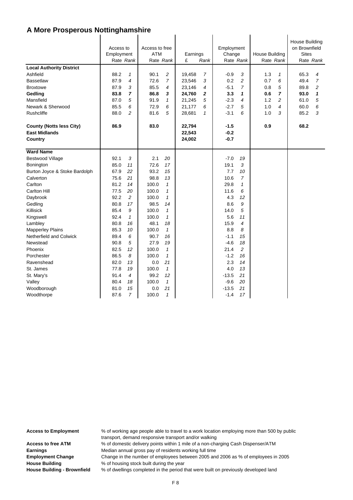| <b>Local Authority District</b>                                    | Access to<br>Employment | Rate Rank      | Access to free<br><b>ATM</b> | Rate Rank           | Earnings<br>£              | Rank         | Employment<br>Change       | Rate Rank      | <b>House Building</b> | Rate Rank      | House Building<br>on Brownfield<br><b>Sites</b> | Rate Rank      |
|--------------------------------------------------------------------|-------------------------|----------------|------------------------------|---------------------|----------------------------|--------------|----------------------------|----------------|-----------------------|----------------|-------------------------------------------------|----------------|
| Ashfield                                                           | 88.2                    | 1              | 90.1                         | 2                   | 19,458                     | 7            | $-0.9$                     | 3              | 1.3                   | 1              | 65.3                                            | 4              |
| <b>Bassetlaw</b>                                                   | 87.9                    | 4              | 72.6                         | $\overline{7}$      | 23,546                     | 3            | 0.2                        | $\overline{c}$ | 0.7                   | 6              | 49.4                                            | 7              |
| <b>Broxtowe</b>                                                    | 87.9                    | 3              | 85.5                         | 4                   | 23,146                     | 4            | $-5.1$                     | 7              | 0.8                   | 5              | 89.8                                            | $\overline{c}$ |
| Gedling                                                            | 83.8                    | $\overline{7}$ | 86.8                         | 3                   | 24,760                     | 2            | 3.3                        | 1              | 0.6                   | $\overline{ }$ | 93.0                                            | 1              |
| Mansfield                                                          | 87.0                    | 5              | 91.9                         | $\mathbf{1}$        | 21,245                     | 5            | $-2.3$                     | 4              | 1.2                   | $\overline{c}$ | 61.0                                            | 5              |
| Newark & Sherwood                                                  | 85.5                    | 6              | 72.9                         | 6                   | 21,177                     | 6            | $-2.7$                     | 5              | 1.0                   | 4              | 60.0                                            | 6              |
| <b>Rushcliffe</b>                                                  | 88.0                    | $\overline{c}$ | 81.6                         | 5                   | 28,681                     | $\mathbf{1}$ | $-3.1$                     | 6              | 1.0                   | 3              | 85.2                                            | 3              |
| <b>County (Notts less City)</b><br><b>East Midlands</b><br>Country | 86.9                    |                | 83.0                         |                     | 22,794<br>22,543<br>24,002 |              | $-1.5$<br>$-0.2$<br>$-0.7$ |                | 0.9                   |                | 68.2                                            |                |
| <b>Ward Name</b>                                                   |                         |                |                              |                     |                            |              |                            |                |                       |                |                                                 |                |
| <b>Bestwood Village</b>                                            | 92.1                    | 3              | 2.1                          | 20                  |                            |              | $-7.0$                     | 19             |                       |                |                                                 |                |
| Bonington                                                          | 85.0                    | 11             | 72.6                         | 17                  |                            |              | 19.1                       | 3              |                       |                |                                                 |                |
| Burton Joyce & Stoke Bardolph                                      | 67.9                    | 22             | 93.2                         | 15                  |                            |              | 7.7                        | 10             |                       |                |                                                 |                |
| Calverton                                                          | 75.6                    | 21             | 98.8                         | 13                  |                            |              | 10.6                       | 7              |                       |                |                                                 |                |
| Carlton                                                            | 81.2                    | 14             | 100.0                        | $\mathbf{1}$        |                            |              | 29.8                       | $\mathbf{1}$   |                       |                |                                                 |                |
| <b>Carlton Hill</b>                                                | 77.5                    | 20             | 100.0                        | $\mathbf{1}$        |                            |              | 11.6                       | 6              |                       |                |                                                 |                |
| Daybrook                                                           | 92.2                    | 2              | 100.0                        | $\mathbf{1}$        |                            |              | 4.3                        | 12             |                       |                |                                                 |                |
| Gedling                                                            | 80.8                    | 17             | 98.5                         | 14                  |                            |              | 8.6                        | 9              |                       |                |                                                 |                |
| Killisick                                                          | 85.4                    | 9              | 100.0                        | $\mathbf{1}$        |                            |              | 14.0                       | 5              |                       |                |                                                 |                |
| Kingswell                                                          | 92.4                    | $\mathbf{1}$   | 100.0                        | $\mathbf{1}$        |                            |              | 5.6                        | 11             |                       |                |                                                 |                |
| Lambley                                                            | 80.8                    | 16             | 48.1                         | 18                  |                            |              | 15.9                       | 4              |                       |                |                                                 |                |
| <b>Mapperley Plains</b>                                            | 85.3                    | 10             | 100.0                        | $\mathbf{1}$        |                            |              | 8.8                        | 8              |                       |                |                                                 |                |
| Netherfield and Colwick                                            | 89.4                    | 6              | 90.7                         | 16                  |                            |              | $-1.1$                     | 15             |                       |                |                                                 |                |
| Newstead                                                           | 90.8                    | 5              | 27.9                         | 19                  |                            |              | $-4.6$                     | 18             |                       |                |                                                 |                |
| Phoenix                                                            | 82.5                    | 12             | 100.0                        | $\mathbf{1}$        |                            |              | 21.4                       | 2              |                       |                |                                                 |                |
| Porchester                                                         | 86.5                    | 8              | 100.0                        | $\mathbf{1}$        |                            |              | $-1.2$                     | 16             |                       |                |                                                 |                |
| Ravenshead                                                         | 82.0                    | 13             | 0.0                          | 21                  |                            |              | 2.3                        | 14             |                       |                |                                                 |                |
| St. James                                                          | 77.8                    | 19             | 100.0                        | $\mathbf{1}$        |                            |              | 4.0                        | 13             |                       |                |                                                 |                |
| St. Mary's                                                         | 91.4                    | $\overline{4}$ | 99.2                         | 12                  |                            |              | $-13.5$                    | 21             |                       |                |                                                 |                |
| Valley                                                             | 80.4                    | 18             | 100.0                        | $\pmb{\mathcal{1}}$ |                            |              | $-9.6$                     | 20             |                       |                |                                                 |                |
| Woodborough                                                        | 81.0                    | 15             | 0.0                          | 21                  |                            |              | $-13.5$                    | 21             |                       |                |                                                 |                |
| Woodthorpe                                                         | 87.6                    | $\overline{7}$ | 100.0                        | $\mathbf{1}$        |                            |              | $-1.4$                     | 17             |                       |                |                                                 |                |

**Access to Employment** % of working age people able to travel to a work location employing more than 500 by public transport, demand responsive transport and/or walking Access to free ATM % of domestic delivery points within 1 mile of a non-charging Cash Dispenser/ATM **Earnings** Median annual gross pay of residents working full time **Employment Change** Change in the number of employees between 2005 and 2006 as % of employees in 2005 **House Building** % of housing stock built during the year **House Building - Brownfield** % of dwellings completed in the period that were built on previously developed land

F 8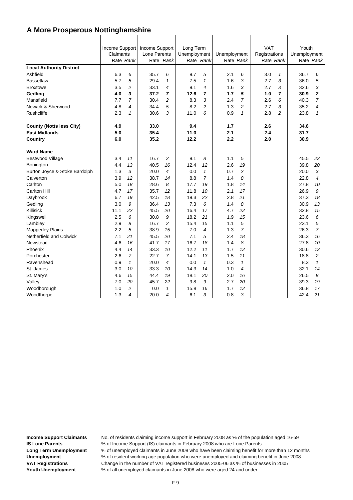|                                 |           |                | Income Support Income Support |                | Long Term    |                |              |                | <b>VAT</b>    |                | Youth        |                |
|---------------------------------|-----------|----------------|-------------------------------|----------------|--------------|----------------|--------------|----------------|---------------|----------------|--------------|----------------|
|                                 | Claimants |                | Lone Parents                  |                | Unemployment |                | Unemployment |                | Registrations |                | Unemployment |                |
|                                 | Rate Rank |                |                               | Rate Rank      |              | Rate Rank      | Rate Rank    |                | Rate Rank     |                |              | Rate Rank      |
| <b>Local Authority District</b> |           |                |                               |                |              |                |              |                |               |                |              |                |
| Ashfield                        | 6.3       | 6              | 35.7                          | 6              | 9.7          | 5              | 2.1          | 6              | 3.0           | 1              | 36.7         | 6              |
| <b>Bassetlaw</b>                | 5.7       | 5              | 29.4                          | $\mathbf{1}$   | 7.5          | $\mathbf{1}$   | 1.6          | 3              | 2.7           | 3              | 36.0         | 5              |
| <b>Broxtowe</b>                 | 3.5       | 2              | 33.1                          | 4              | 9.1          | 4              | 1.6          | 3              | 2.7           | 3              | 32.6         | 3              |
| Gedling                         | 4.0       | 3              | 37.2                          | 7              | 12.6         | 7              | 1.7          | 5              | 1.0           | 7              | 30.9         | $\overline{2}$ |
| Mansfield                       | 7.7       | 7              | 30.4                          | 2              | 8.3          | 3              | 2.4          | $\overline{7}$ | 2.6           | 6              | 40.3         | $\overline{7}$ |
| Newark & Sherwood               | 4.8       | 4              | 34.4                          | 5              | 8.2          | 2              | 1.3          | 2              | 2.7           | 3              | 35.2         | 4              |
| <b>Rushcliffe</b>               | 2.3       | $\mathbf{1}$   | 30.6                          | 3              | 11.0         | 6              | 0.9          | $\mathbf{1}$   | 2.8           | $\overline{c}$ | 23.8         | $\mathbf{1}$   |
| <b>County (Notts less City)</b> | 4.9       |                | 33.0                          |                | 9.4          |                | 1.7          |                | 2.6           |                | 34.6         |                |
| <b>East Midlands</b>            | 5.0       |                | 35.4                          |                | 11.0         |                | 2.1          |                | 2.4           |                | 31.7         |                |
| Country                         | 6.0       |                | 35.2                          |                | 12.2         |                | 2.2          |                | 2.0           |                | 30.9         |                |
| <b>Ward Name</b>                |           |                |                               |                |              |                |              |                |               |                |              |                |
| <b>Bestwood Village</b>         | 3.4       | 11             | 16.7                          | 2              | 9.1          | 8              | 1.1          | 5              |               |                | 45.5         | 22             |
| Bonington                       | 4.4       | 13             | 40.5                          | 16             | 12.4         | 12             | 2.6          | 19             |               |                | 39.8         | 20             |
| Burton Joyce & Stoke Bardolph   | 1.3       | 3              | 20.0                          | $\overline{4}$ | 0.0          | $\mathbf{1}$   | 0.7          | $\overline{c}$ |               |                | 20.0         | 3              |
| Calverton                       | 3.9       | 12             | 38.7                          | 14             | 8.8          | $\overline{7}$ | 1.4          | 8              |               |                | 22.8         | $\overline{4}$ |
| Carlton                         | 5.0       | 18             | 28.6                          | 8              | 17.7         | 19             | 1.8          | 14             |               |                | 27.8         | 10             |
| <b>Carlton Hill</b>             | 4.7       | 17             | 35.7                          | 12             | 11.8         | 10             | 2.1          | 17             |               |                | 26.9         | 9              |
| Daybrook                        | 6.7       | 19             | 42.5                          | 18             | 19.3         | 22             | 2.8          | 21             |               |                | 37.3         | 18             |
| Gedling                         | 3.0       | 9              | 36.4                          | 13             | 7.3          | 6              | 1.4          | 8              |               |                | 30.9         | 13             |
| Killisick                       | 11.1      | 22             | 45.5                          | 20             | 16.4         | 17             | 4.7          | 22             |               |                | 32.8         | 15             |
| Kingswell                       | 2.5       | 6              | 30.8                          | 9              | 18.2         | 21             | 1.9          | 15             |               |                | 23.6         | 6              |
| Lambley                         | 2.9       | 8              | 16.7                          | $\overline{c}$ | 15.4         | 15             | 1.1          | 5              |               |                | 23.1         | 5              |
| <b>Mapperley Plains</b>         | 2.2       | 5              | 38.9                          | 15             | 7.0          | 4              | 1.3          | $\overline{7}$ |               |                | 26.3         | $\overline{7}$ |
| Netherfield and Colwick         | 7.1       | 21             | 45.5                          | 20             | 7.1          | 5              | 2.4          | 18             |               |                | 36.3         | 16             |
| Newstead                        | 4.6       | 16             | 41.7                          | 17             | 16.7         | 18             | 1.4          | 8              |               |                | 27.8         | 10             |
| Phoenix                         | 4.4       | 14             | 33.3                          | 10             | 12.2         | 11             | 1.7          | 12             |               |                | 30.6         | 12             |
| Porchester                      | 2.6       | $\overline{7}$ | 22.7                          | 7              | 14.1         | 13             | 1.5          | 11             |               |                | 18.8         | $\overline{c}$ |
| Ravenshead                      | 0.9       | $\mathbf{1}$   | 20.0                          | 4              | 0.0          | $\mathbf{1}$   | 0.3          | $\mathbf{1}$   |               |                | 8.3          | $\mathbf{1}$   |
| St. James                       | 3.0       | 10             | 33.3                          | 10             | 14.3         | 14             | 1.0          | 4              |               |                | 32.1         | 14             |
| St. Mary's                      | 4.6       | 15             | 44.4                          | 19             | 18.1         | 20             | 2.0          | 16             |               |                | 26.5         | 8              |
| Valley                          | 7.0       | 20             | 45.7                          | 22             | 9.8          | 9              | 2.7          | 20             |               |                | 39.3         | 19             |
| Woodborough                     | 1.0       | $\overline{c}$ | 0.0                           | $\mathbf{1}$   | 15.8         | 16             | 1.7          | 12             |               |                | 36.8         | 17             |
| Woodthorpe                      | 1.3       | 4              | 20.0                          | 4              | 6.1          | 3              | 0.8          | 3              |               |                | 42.4         | 21             |

 $\mathbf{I}$ 

 $\overline{1}$ 

 $\mathbf{I}$ 

 $\overline{1}$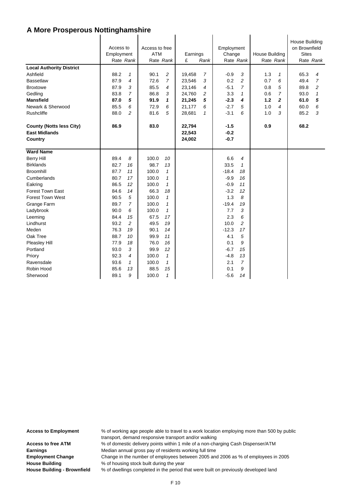| <b>Local Authority District</b>                                    | Access to<br>Employment<br>Rate Rank |                | Access to free<br><b>ATM</b><br>Rate Rank |                | Earnings<br>£              | Rank           | Employment<br>Change<br>Rate Rank |                | House Building | Rate Rank      | House Building<br>on Brownfield<br><b>Sites</b> | Rate Rank      |
|--------------------------------------------------------------------|--------------------------------------|----------------|-------------------------------------------|----------------|----------------------------|----------------|-----------------------------------|----------------|----------------|----------------|-------------------------------------------------|----------------|
| Ashfield                                                           | 88.2                                 | $\mathcal I$   | 90.1                                      | 2              | 19,458                     | 7              | $-0.9$                            | 3              | 1.3            | $\mathcal I$   | 65.3                                            | 4              |
| <b>Bassetlaw</b>                                                   | 87.9                                 | $\overline{4}$ | 72.6                                      | $\overline{7}$ | 23,546                     | 3              | 0.2                               | $\overline{c}$ | 0.7            | 6              | 49.4                                            | $\overline{7}$ |
| <b>Broxtowe</b>                                                    | 87.9                                 | 3              | 85.5                                      | 4              | 23,146                     | $\overline{4}$ | $-5.1$                            | $\overline{7}$ | 0.8            | 5              | 89.8                                            | 2              |
| Gedling                                                            | 83.8                                 | $\overline{7}$ | 86.8                                      | 3              | 24,760                     | 2              | 3.3                               | 1              | 0.6            | 7              | 93.0                                            | $\mathbf{1}$   |
| <b>Mansfield</b>                                                   | 87.0                                 | 5              | 91.9                                      | $\mathbf{1}$   | 21,245                     | 5              | $-2.3$                            | 4              | 1.2            | $\overline{2}$ | 61.0                                            | 5              |
| Newark & Sherwood                                                  | 85.5                                 | 6              | 72.9                                      | 6              | 21,177                     | 6              | $-2.7$                            | 5              | 1.0            | 4              | 60.0                                            | 6              |
| Rushcliffe                                                         | 88.0                                 | $\overline{c}$ | 81.6                                      | 5              | 28,681                     | $\mathbf{1}$   | $-3.1$                            | 6              | 1.0            | 3              | 85.2                                            | 3              |
| <b>County (Notts less City)</b><br><b>East Midlands</b><br>Country | 86.9                                 |                | 83.0                                      |                | 22,794<br>22,543<br>24,002 |                | $-1.5$<br>$-0.2$<br>$-0.7$        |                | 0.9            |                | 68.2                                            |                |
| <b>Ward Name</b>                                                   |                                      |                |                                           |                |                            |                |                                   |                |                |                |                                                 |                |
| <b>Berry Hill</b>                                                  | 89.4                                 | 8              | 100.0                                     | 10             |                            |                | 6.6                               | $\overline{4}$ |                |                |                                                 |                |
| <b>Birklands</b>                                                   | 82.7                                 | 16             | 98.7                                      | 13             |                            |                | 33.5                              | 1              |                |                |                                                 |                |
| <b>Broomhill</b>                                                   | 87.7                                 | 11             | 100.0                                     | $\mathbf{1}$   |                            |                | $-18.4$                           | 18             |                |                |                                                 |                |
| Cumberlands                                                        | 80.7                                 | 17             | 100.0                                     | $\mathbf{1}$   |                            |                | $-9.9$                            | 16             |                |                |                                                 |                |
| Eakring                                                            | 86.5                                 | 12             | 100.0                                     | $\mathbf{1}$   |                            |                | $-0.9$                            | 11             |                |                |                                                 |                |
| <b>Forest Town East</b>                                            | 84.6                                 | 14             | 66.3                                      | 18             |                            |                | $-3.2$                            | 12             |                |                |                                                 |                |
| <b>Forest Town West</b>                                            | 90.5                                 | 5              | 100.0                                     | $\mathbf{1}$   |                            |                | 1.3                               | 8              |                |                |                                                 |                |
| Grange Farm                                                        | 89.7                                 | $\overline{7}$ | 100.0                                     | $\mathbf{1}$   |                            |                | $-19.4$                           | 19             |                |                |                                                 |                |
| Ladybrook                                                          | 90.0                                 | 6              | 100.0                                     | $\mathbf{1}$   |                            |                | 7.7                               | 3              |                |                |                                                 |                |
| Leeming                                                            | 84.4                                 | 15             | 67.5                                      | 17             |                            |                | 2.3                               | 6              |                |                |                                                 |                |
| Lindhurst                                                          | 93.2                                 | 2              | 49.5                                      | 19             |                            |                | 10.0                              | 2              |                |                |                                                 |                |
| Meden                                                              | 76.3                                 | 19             | 90.1                                      | 14             |                            |                | $-12.3$                           | 17             |                |                |                                                 |                |
| Oak Tree                                                           | 88.7                                 | 10             | 99.9                                      | 11             |                            |                | 4.1                               | 5              |                |                |                                                 |                |
| Pleasley Hill                                                      | 77.9                                 | 18             | 76.0                                      | 16             |                            |                | 0.1                               | 9              |                |                |                                                 |                |
| Portland                                                           | 93.0                                 | 3              | 99.9                                      | 12             |                            |                | $-6.7$                            | 15             |                |                |                                                 |                |
| Priory                                                             | 92.3                                 | 4              | 100.0                                     | $\mathcal I$   |                            |                | $-4.8$                            | 13             |                |                |                                                 |                |
| Ravensdale                                                         | 93.6                                 | $\mathcal I$   | 100.0                                     | $\mathbf{1}$   |                            |                | 2.1                               | $\overline{7}$ |                |                |                                                 |                |
| Robin Hood                                                         | 85.6                                 | 13             | 88.5                                      | 15             |                            |                | 0.1                               | 9              |                |                |                                                 |                |
| Sherwood                                                           | 89.1                                 | 9              | 100.0                                     | $\mathbf{1}$   |                            |                | $-5.6$                            | 14             |                |                |                                                 |                |

**Access to Employment** % of working age people able to travel to a work location employing more than 500 by public transport, demand responsive transport and/or walking Access to free ATM % of domestic delivery points within 1 mile of a non-charging Cash Dispenser/ATM **Earnings** Median annual gross pay of residents working full time

**Employment Change** Change in the number of employees between 2005 and 2006 as % of employees in 2005 **House Building** % of housing stock built during the year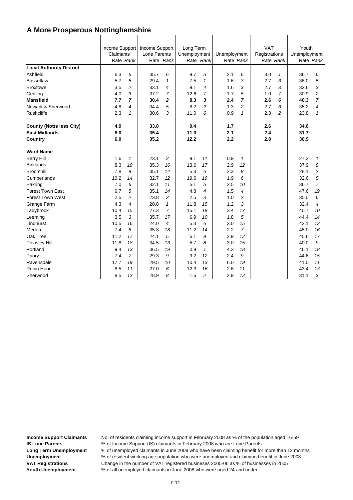| <b>Local Authority District</b><br>Ashfield<br><b>Bassetlaw</b><br><b>Broxtowe</b><br>Gedling<br><b>Mansfield</b><br>Newark & Sherwood<br>Rushcliffe | Claimants<br>Rate Rank<br>6.3<br>5.7<br>3.5<br>4.0<br>7.7<br>4.8<br>2.3 | 6<br>5<br>$\overline{c}$<br>3<br>$\overline{7}$<br>$\overline{4}$<br>$\mathbf{1}$ | Income Support Income Support<br>Lone Parents<br>35.7<br>29.4<br>33.1<br>37.2<br>30.4<br>34.4<br>30.6 | Rate Rank<br>6<br>$\mathbf{1}$<br>4<br>7<br>$\overline{2}$<br>5<br>3 | Long Term<br>Unemployment<br>9.7<br>7.5<br>9.1<br>12.6<br>8.3<br>8.2<br>11.0 | Rate Rank<br>5<br>$\mathbf{1}$<br>$\overline{4}$<br>7<br>3<br>$\overline{c}$<br>6 | Unemployment<br>2.1<br>1.6<br>1.6<br>1.7<br>2.4<br>1.3<br>0.9 | Rate Rank<br>6<br>3<br>3<br>5<br>7<br>$\overline{c}$<br>$\mathbf{1}$ | <b>VAT</b><br>Registrations<br>Rate Rank<br>3.0<br>2.7<br>2.7<br>1.0<br>2.6<br>2.7<br>2.8 | $\mathbf{1}$<br>3<br>3<br>$\overline{7}$<br>6<br>3<br>$\overline{c}$ | Youth<br>Unemployment<br>36.7<br>36.0<br>32.6<br>30.9<br>40.3<br>35.2<br>23.8 | Rate Rank<br>6<br>5<br>3<br>$\overline{c}$<br>$\overline{7}$<br>4<br>$\mathbf{1}$ |
|------------------------------------------------------------------------------------------------------------------------------------------------------|-------------------------------------------------------------------------|-----------------------------------------------------------------------------------|-------------------------------------------------------------------------------------------------------|----------------------------------------------------------------------|------------------------------------------------------------------------------|-----------------------------------------------------------------------------------|---------------------------------------------------------------|----------------------------------------------------------------------|-------------------------------------------------------------------------------------------|----------------------------------------------------------------------|-------------------------------------------------------------------------------|-----------------------------------------------------------------------------------|
| <b>County (Notts less City)</b>                                                                                                                      | 4.9                                                                     |                                                                                   | 33.0                                                                                                  |                                                                      | 9.4                                                                          |                                                                                   | 1.7                                                           |                                                                      | 2.6                                                                                       |                                                                      | 34.6                                                                          |                                                                                   |
| <b>East Midlands</b>                                                                                                                                 | 5.0                                                                     |                                                                                   | 35.4                                                                                                  |                                                                      | 11.0                                                                         |                                                                                   | 2.1                                                           |                                                                      | 2.4                                                                                       |                                                                      | 31.7                                                                          |                                                                                   |
| Country                                                                                                                                              | 6.0                                                                     |                                                                                   | 35.2                                                                                                  |                                                                      | 12.2                                                                         |                                                                                   | 2.2                                                           |                                                                      | 2.0                                                                                       |                                                                      | 30.9                                                                          |                                                                                   |
| <b>Ward Name</b>                                                                                                                                     |                                                                         |                                                                                   |                                                                                                       |                                                                      |                                                                              |                                                                                   |                                                               |                                                                      |                                                                                           |                                                                      |                                                                               |                                                                                   |
| <b>Berry Hill</b>                                                                                                                                    | 1.6                                                                     | $\mathbf{1}$                                                                      | 23.1                                                                                                  | 2                                                                    | 9.1                                                                          | 11                                                                                | 0.9                                                           | $\mathbf{1}$                                                         |                                                                                           |                                                                      | 27.3                                                                          | 1                                                                                 |
| <b>Birklands</b>                                                                                                                                     | 8.3                                                                     | 10                                                                                | 35.3                                                                                                  | 16                                                                   | 13.6                                                                         | 17                                                                                | 2.9                                                           | 12                                                                   |                                                                                           |                                                                      | 37.9                                                                          | 8                                                                                 |
| <b>Broomhill</b>                                                                                                                                     | 7.8                                                                     | 9                                                                                 | 35.1                                                                                                  | 14                                                                   | 5.3                                                                          | 6                                                                                 | 2.3                                                           | 8                                                                    |                                                                                           |                                                                      | 28.1                                                                          | 2                                                                                 |
| Cumberlands                                                                                                                                          | 10.2                                                                    | 14                                                                                | 32.7                                                                                                  | 12                                                                   | 19.6                                                                         | 19                                                                                | 1.9                                                           | 6                                                                    |                                                                                           |                                                                      | 32.6                                                                          | 5                                                                                 |
| Eakring                                                                                                                                              | 7.0                                                                     | 6                                                                                 | 32.1                                                                                                  | 11                                                                   | 5.1                                                                          | 5                                                                                 | 2.5                                                           | 10                                                                   |                                                                                           |                                                                      | 36.7                                                                          | 7                                                                                 |
| <b>Forest Town East</b>                                                                                                                              | 6.7                                                                     | 5                                                                                 | 35.1                                                                                                  | 14                                                                   | 4.8                                                                          | $\overline{4}$                                                                    | 1.5                                                           | 4                                                                    |                                                                                           |                                                                      | 47.6                                                                          | 19                                                                                |
| <b>Forest Town West</b>                                                                                                                              | 2.5                                                                     | $\overline{c}$                                                                    | 23.8                                                                                                  | 3                                                                    | 2.5                                                                          | 3                                                                                 | 1.0                                                           | 2                                                                    |                                                                                           |                                                                      | 35.0                                                                          | 6                                                                                 |
| Grange Farm                                                                                                                                          | 4.3                                                                     | $\overline{4}$                                                                    | 20.8                                                                                                  | $\mathbf{1}$                                                         | 11.8                                                                         | 15                                                                                | 1.2                                                           | 3                                                                    |                                                                                           |                                                                      | 32.4                                                                          | 4                                                                                 |
| Ladybrook                                                                                                                                            | 10.4                                                                    | 15                                                                                | 27.3                                                                                                  | $\overline{7}$                                                       | 15.1                                                                         | 18                                                                                | 3.4                                                           | 17                                                                   |                                                                                           |                                                                      | 40.7                                                                          | 10                                                                                |
| Leeming                                                                                                                                              | 3.5                                                                     | 3                                                                                 | 35.7                                                                                                  | 17                                                                   | 6.9                                                                          | 10                                                                                | 1.8                                                           | 5                                                                    |                                                                                           |                                                                      | 44.4                                                                          | 14                                                                                |
| Lindhurst                                                                                                                                            | 10.5                                                                    | 16                                                                                | 24.0                                                                                                  | 4                                                                    | 5.3                                                                          | 6                                                                                 | 3.0                                                           | 15                                                                   |                                                                                           |                                                                      | 42.1                                                                          | 12                                                                                |
| Meden                                                                                                                                                | 7.4                                                                     | 8                                                                                 | 35.8                                                                                                  | 18                                                                   | 11.2                                                                         | 14                                                                                | 2.2                                                           | $\overline{7}$                                                       |                                                                                           |                                                                      | 45.0                                                                          | 16                                                                                |
| Oak Tree                                                                                                                                             | 11.2                                                                    | 17                                                                                | 24.1                                                                                                  | 5                                                                    | 6.1                                                                          | 9                                                                                 | 2.9                                                           | 12                                                                   |                                                                                           |                                                                      | 45.6                                                                          | 17                                                                                |
| Pleasley Hill                                                                                                                                        | 11.8                                                                    | 18                                                                                | 34.5                                                                                                  | 13                                                                   | 5.7                                                                          | 8                                                                                 | 3.0                                                           | 15                                                                   |                                                                                           |                                                                      | 40.0                                                                          | 9                                                                                 |
| Portland                                                                                                                                             | 9.4                                                                     | 13                                                                                | 36.5                                                                                                  | 19                                                                   | 0.9                                                                          | $\mathbf{1}$                                                                      | 4.3                                                           | 18                                                                   |                                                                                           |                                                                      | 46.1                                                                          | 18                                                                                |
| Priory                                                                                                                                               | 7.4                                                                     | $\overline{7}$                                                                    | 29.3                                                                                                  | 9                                                                    | 9.2                                                                          | 12                                                                                | 2.4                                                           | 9                                                                    |                                                                                           |                                                                      | 44.6                                                                          | 15                                                                                |
| Ravensdale                                                                                                                                           | 17.7                                                                    | 19                                                                                | 29.5                                                                                                  | 10                                                                   | 10.4                                                                         | 13                                                                                | 6.0                                                           | 19                                                                   |                                                                                           |                                                                      | 41.0                                                                          | 11                                                                                |
| Robin Hood                                                                                                                                           | 8.5                                                                     | 11                                                                                | 27.0                                                                                                  | 6                                                                    | 12.3                                                                         | 16                                                                                | 2.6                                                           | 11                                                                   |                                                                                           |                                                                      | 43.4                                                                          | 13                                                                                |
| Sherwood                                                                                                                                             | 8.5                                                                     | 12                                                                                | 28.9                                                                                                  | 8                                                                    | 1.6                                                                          | 2                                                                                 | 2.9                                                           | 12                                                                   |                                                                                           |                                                                      | 31.1                                                                          | 3                                                                                 |

 $\mathbf{I}$ 

 $\overline{1}$ 

 $\mathbf{I}$ 

 $\overline{1}$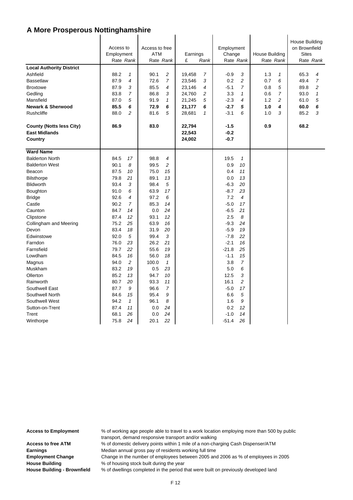| <b>Local Authority District</b>                                    | Access to<br>Employment<br>Rate Rank |                | Access to free<br><b>ATM</b> | Rate Rank      | Earnings<br>£              | Rank           | Employment<br>Change       | Rate Rank      | <b>House Building</b> | Rate Rank      | <b>House Building</b><br>on Brownfield<br><b>Sites</b> | Rate Rank      |
|--------------------------------------------------------------------|--------------------------------------|----------------|------------------------------|----------------|----------------------------|----------------|----------------------------|----------------|-----------------------|----------------|--------------------------------------------------------|----------------|
| Ashfield                                                           | 88.2                                 | $\mathbf{1}$   | 90.1                         | 2              | 19,458                     | 7              | $-0.9$                     | 3              | 1.3                   | 1              | 65.3                                                   | 4              |
| <b>Bassetlaw</b>                                                   | 87.9                                 | $\overline{4}$ | 72.6                         | 7              | 23,546                     | 3              | 0.2                        | $\overline{c}$ | 0.7                   | 6              | 49.4                                                   | $\overline{7}$ |
| <b>Broxtowe</b>                                                    | 87.9                                 | 3              | 85.5                         | 4              | 23,146                     | 4              | $-5.1$                     | $\overline{7}$ | 0.8                   | 5              | 89.8                                                   | 2              |
| Gedling                                                            | 83.8                                 | $\overline{7}$ | 86.8                         | 3              | 24,760                     | $\overline{c}$ | 3.3                        | $\mathbf{1}$   | 0.6                   | $\overline{7}$ | 93.0                                                   | $\mathbf{1}$   |
| Mansfield                                                          | 87.0                                 | 5              | 91.9                         | $\mathcal I$   | 21,245                     | 5              | $-2.3$                     | 4              | 1.2                   | $\overline{c}$ | 61.0                                                   | 5              |
| <b>Newark &amp; Sherwood</b>                                       | 85.5                                 | 6              | 72.9                         | 6              | 21,177                     | 6              | $-2.7$                     | 5              | 1.0                   | 4              | 60.0                                                   | 6              |
| <b>Rushcliffe</b>                                                  | 88.0                                 | $\overline{2}$ | 81.6                         | 5              | 28,681                     | $\mathbf{1}$   | $-3.1$                     | 6              | 1.0                   | 3              | 85.2                                                   | 3              |
| <b>County (Notts less City)</b><br><b>East Midlands</b><br>Country | 86.9                                 |                | 83.0                         |                | 22,794<br>22,543<br>24,002 |                | $-1.5$<br>$-0.2$<br>$-0.7$ |                | 0.9                   |                | 68.2                                                   |                |
|                                                                    |                                      |                |                              |                |                            |                |                            |                |                       |                |                                                        |                |
| <b>Ward Name</b>                                                   |                                      |                |                              |                |                            |                |                            |                |                       |                |                                                        |                |
| <b>Balderton North</b>                                             | 84.5                                 | 17             | 98.8                         | 4              |                            |                | 19.5                       | $\mathbf{1}$   |                       |                |                                                        |                |
| <b>Balderton West</b>                                              | 90.1                                 | 8              | 99.5                         | 2              |                            |                | 0.9                        | 10             |                       |                |                                                        |                |
| Beacon                                                             | 87.5                                 | 10             | 75.0                         | 15             |                            |                | 0.4                        | 11             |                       |                |                                                        |                |
| <b>Bilsthorpe</b>                                                  | 79.8                                 | 21             | 89.1                         | 13             |                            |                | 0.0                        | 13             |                       |                |                                                        |                |
| <b>Blidworth</b>                                                   | 93.4                                 | 3              | 98.4                         | 5              |                            |                | $-6.3$                     | 20             |                       |                |                                                        |                |
| Boughton                                                           | 91.0                                 | 6              | 63.9                         | 17             |                            |                | $-8.7$                     | 23             |                       |                |                                                        |                |
| <b>Bridge</b>                                                      | 92.6                                 | 4              | 97.2                         | 6              |                            |                | 7.2                        | 4              |                       |                |                                                        |                |
| Castle                                                             | 90.2                                 | 7              | 85.3                         | 14             |                            |                | $-5.0$                     | 17             |                       |                |                                                        |                |
| Caunton                                                            | 84.7                                 | 14             | 0.0                          | 24             |                            |                | $-6.5$                     | 21             |                       |                |                                                        |                |
| Clipstone                                                          | 87.4                                 | 12             | 93.1                         | 12             |                            |                | 2.5                        | 8              |                       |                |                                                        |                |
| Collingham and Meering                                             | 75.2                                 | 25             | 63.9                         | 16             |                            |                | $-9.3$                     | 24             |                       |                |                                                        |                |
| Devon                                                              | 83.4                                 | 18             | 31.9                         | 20             |                            |                | $-5.9$                     | 19             |                       |                |                                                        |                |
| Edwinstowe                                                         | 92.0                                 | 5              | 99.4                         | 3              |                            |                | $-7.8$                     | 22             |                       |                |                                                        |                |
| Farndon                                                            | 76.0                                 | 23             | 26.2                         | 21             |                            |                | $-2.1$                     | 16             |                       |                |                                                        |                |
| Farnsfield                                                         | 79.7                                 | 22             | 55.6                         | 19             |                            |                | $-21.8$                    | 25             |                       |                |                                                        |                |
| Lowdham                                                            | 84.5                                 | 16             | 56.0                         | 18             |                            |                | $-1.1$                     | 15             |                       |                |                                                        |                |
| Magnus                                                             | 94.0                                 | 2              | 100.0                        | $\mathbf{1}$   |                            |                | 3.8                        | 7              |                       |                |                                                        |                |
| Muskham                                                            | 83.2                                 | 19             | 0.5                          | 23             |                            |                | 5.0                        | 6              |                       |                |                                                        |                |
| Ollerton                                                           | 85.2                                 | 13             | 94.7                         | 10             |                            |                | 12.5                       | 3              |                       |                |                                                        |                |
| Rainworth                                                          | 80.7                                 | 20             | 93.3                         | 11             |                            |                | 16.1                       | $\overline{c}$ |                       |                |                                                        |                |
| Southwell East                                                     | 87.7                                 | 9              | 96.6                         | $\overline{7}$ |                            |                | $-5.0$                     | 17             |                       |                |                                                        |                |
| Southwell North                                                    | 84.6                                 | 15             | 95.4                         | 9              |                            |                | 6.6                        | 5              |                       |                |                                                        |                |
| Southwell West                                                     | 94.2                                 | $\mathbf{1}$   | 96.1                         | 8              |                            |                | 1.6                        | 9              |                       |                |                                                        |                |
| Sutton-on-Trent                                                    | 87.4                                 | 11             | 0.0                          | 24             |                            |                | 0.2                        | 12             |                       |                |                                                        |                |
| Trent                                                              | 68.1                                 | 26             | 0.0                          | 24             |                            |                | $-1.0$                     | 14             |                       |                |                                                        |                |
| Winthorpe                                                          | 75.8                                 | 24             | 20.1                         | 22             |                            |                | $-51.4$                    | 26             |                       |                |                                                        |                |

**Access to Employment** % of working age people able to travel to a work location employing more than 500 by public transport, demand responsive transport and/or walking

Access to free ATM % of domestic delivery points within 1 mile of a non-charging Cash Dispenser/ATM **Earnings** Median annual gross pay of residents working full time

**Employment Change** Change in the number of employees between 2005 and 2006 as % of employees in 2005 **House Building** % of housing stock built during the year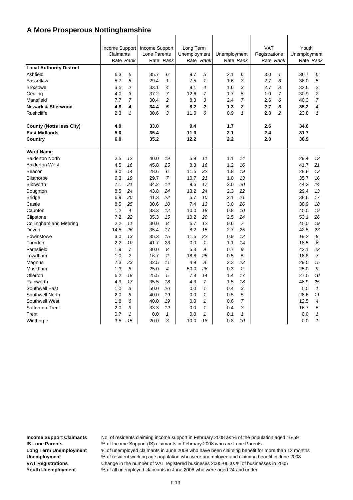|                                 | Claimants<br>Rate Rank |                  | Income Support   Income Support<br>Lone Parents | Rate Rank      | Long Term<br>Unemployment | Rate Rank      | Unemployment<br>Rate Rank |                | <b>VAT</b><br>Registrations<br>Rate Rank |   | Youth<br>Unemployment | Rate Rank      |
|---------------------------------|------------------------|------------------|-------------------------------------------------|----------------|---------------------------|----------------|---------------------------|----------------|------------------------------------------|---|-----------------------|----------------|
| <b>Local Authority District</b> |                        |                  |                                                 |                |                           |                |                           |                |                                          |   |                       |                |
| Ashfield                        | 6.3                    | 6                | 35.7                                            | 6              | 9.7                       | 5              | 2.1                       | 6              | 3.0                                      | 1 | 36.7                  | 6              |
| <b>Bassetlaw</b>                | 5.7                    | 5                | 29.4                                            | $\mathcal I$   | 7.5                       | 1              | 1.6                       | 3              | 2.7                                      | 3 | 36.0                  | 5              |
| <b>Broxtowe</b>                 | 3.5                    | 2                | 33.1                                            | 4              | 9.1                       | 4              | 1.6                       | 3              | 2.7                                      | 3 | 32.6                  | 3              |
| Gedling                         | 4.0                    | 3                | 37.2                                            | $\overline{7}$ | 12.6                      | 7              | 1.7                       | 5              | 1.0                                      | 7 | 30.9                  | $\overline{c}$ |
| Mansfield                       | 7.7                    | $\overline{7}$   | 30.4                                            | $\overline{c}$ | 8.3                       | 3              | 2.4                       | $\overline{7}$ | 2.6                                      | 6 | 40.3                  | $\overline{7}$ |
| <b>Newark &amp; Sherwood</b>    | 4.8                    | $\boldsymbol{4}$ | 34.4                                            | 5              | 8.2                       | $\overline{2}$ | 1.3                       | $\overline{2}$ | 2.7                                      | 3 | 35.2                  | 4              |
| <b>Rushcliffe</b>               | 2.3                    | $\mathbf{1}$     | 30.6                                            | 3              | 11.0                      | 6              | 0.9                       | $\mathbf{1}$   | 2.8                                      | 2 | 23.8                  | $\mathbf{1}$   |
| <b>County (Notts less City)</b> | 4.9                    |                  | 33.0                                            |                | 9.4                       |                | 1.7                       |                | 2.6                                      |   | 34.6                  |                |
| <b>East Midlands</b>            | 5.0                    |                  | 35.4                                            |                | 11.0                      |                | 2.1                       |                | 2.4                                      |   | 31.7                  |                |
| Country                         | 6.0                    |                  | 35.2                                            |                | 12.2                      |                | 2.2                       |                | 2.0                                      |   | 30.9                  |                |
| <b>Ward Name</b>                |                        |                  |                                                 |                |                           |                |                           |                |                                          |   |                       |                |
| <b>Balderton North</b>          | 2.5                    | 12               | 40.0                                            | 19             | 5.9                       | 11             | 1.1                       | 14             |                                          |   | 29.4                  | 13             |
| <b>Balderton West</b>           | 4.5                    | 16               | 45.8                                            | 25             | 8.3                       | 16             | 1.2                       | 16             |                                          |   | 41.7                  | 21             |
| Beacon                          | 3.0                    | 14               | 28.6                                            | 6              | 11.5                      | 22             | 1.8                       | 19             |                                          |   | 28.8                  | 12             |
| <b>Bilsthorpe</b>               | 6.3                    | 19               | 29.7                                            | $\overline{7}$ | 10.7                      | 21             | 1.0                       | 13             |                                          |   | 35.7                  | 16             |
| <b>Blidworth</b>                | 7.1                    | 21               | 34.2                                            | 14             | 9.6                       | 17             | 2.0                       | 20             |                                          |   | 44.2                  | 24             |
| Boughton                        | 8.5                    | 24               | 43.8                                            | 24             | 13.2                      | 24             | 2.3                       | 22             |                                          |   | 29.4                  | 13             |
| <b>Bridge</b>                   | 6.9                    | 20               | 41.3                                            | 22             | 5.7                       | 10             | 2.1                       | 21             |                                          |   | 38.6                  | 17             |
| Castle                          | 8.5                    | 25               | 30.6                                            | 10             | 7.4                       | 13             | 3.0                       | 26             |                                          |   | 38.9                  | 18             |
| Caunton                         | 1.2                    | $\overline{4}$   | 33.3                                            | 12             | 10.0                      | 18             | 0.8                       | 10             |                                          |   | 40.0                  | 19             |
| Clipstone                       | 7.2                    | 22               | 35.3                                            | 15             | 10.2                      | 20             | 2.5                       | 24             |                                          |   | 53.1                  | 26             |
| Collingham and Meering          | 2.2                    | 11               | 30.0                                            | 8              | 6.7                       | 12             | 0.6                       | 7              |                                          |   | 40.0                  | 19             |
| Devon                           | 14.5                   | 26               | 35.4                                            | 17             | 8.2                       | 15             | 2.7                       | 25             |                                          |   | 42.5                  | 23             |
| Edwinstowe                      | 3.0                    | 13               | 35.3                                            | 15             | 11.5                      | 22             | 0.9                       | 12             |                                          |   | 19.2                  | 8              |
| Farndon                         | 2.2                    | 10               | 41.7                                            | 23             | 0.0                       | $\mathbf{1}$   | 1.1                       | 14             |                                          |   | 18.5                  | 6              |
| Farnsfield                      | 1.9                    | $\overline{7}$   | 30.0                                            | 8              | 5.3                       | 9              | 0.7                       | 9              |                                          |   | 42.1                  | 22             |
| Lowdham                         | 1.0                    | $\overline{c}$   | 16.7                                            | 2              | 18.8                      | 25             | 0.5                       | 5              |                                          |   | 18.8                  | $\overline{7}$ |
| Magnus                          | 7.3                    | 23               | 32.5                                            | 11             | 4.9                       | 8              | 2.3                       | 22             |                                          |   | 29.5                  | 15             |
| Muskham                         | 1.3                    | 5                | 25.0                                            | 4              | 50.0                      | 26             | 0.3                       | $\overline{c}$ |                                          |   | 25.0                  | 9              |
| Ollerton                        | 6.2                    | 18               | 25.5                                            | 5              | 7.8                       | 14             | 1.4                       | 17             |                                          |   | 27.5                  | 10             |
| Rainworth                       | 4.9                    | 17               | 35.5                                            | 18             | 4.3                       | 7              | 1.5                       | 18             |                                          |   | 48.9                  | 25             |
| Southwell East                  | 1.0                    | 3                | 50.0                                            | 26             | 0.0                       | 1              | 0.4                       | 3              |                                          |   | 0.0                   | $\mathbf{1}$   |
| Southwell North                 | 2.0                    | 8                | 40.0                                            | 19             | 0.0                       | 1              | 0.5                       | 5              |                                          |   | 28.6                  | 11             |
| Southwell West                  | 1.8                    | 6                | 40.0                                            | 19             | 0.0                       | 1              | 0.6                       | 7              |                                          |   | 12.5                  | 4              |
| Sutton-on-Trent                 | 2.0                    | 9                | 33.3                                            | 12             | 0.0                       | $\mathbf{1}$   | 0.4                       | 3              |                                          |   | 16.7                  | 5              |
| Trent                           | 0.7                    | $\mathbf{1}$     | 0.0                                             | $\mathcal I$   | 0.0                       | $\mathbf{1}$   | 0.1                       | $\mathbf{1}$   |                                          |   | 0.0                   | $\mathbf{1}$   |
| Winthorpe                       | 3.5                    | 15               | 20.0                                            | 3              | 10.0                      | 18             | 0.8                       | 10             |                                          |   | 0.0                   | $\mathbf{1}$   |

 $\mathbf{I}$ 

 $\overline{1}$ 

 $\overline{1}$ 

 $\mathbf{I}$ 

**Youth Unemployment** % of all unemployed claimants in June 2008 who were aged 24 and under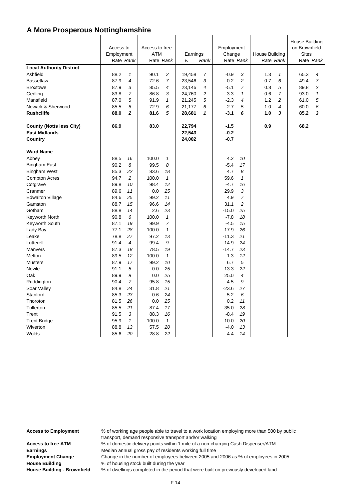| <b>Local Authority District</b><br>Ashfield<br><b>Bassetlaw</b><br><b>Broxtowe</b><br>Gedling<br>Mansfield<br>Newark & Sherwood<br><b>Rushcliffe</b> | Access to<br>Employment<br>Rate Rank<br>88.2<br>$\mathbf{1}$<br>87.9<br>$\overline{4}$<br>87.9<br>3<br>$\overline{7}$<br>83.8<br>87.0<br>5<br>6<br>85.5<br>$\overline{2}$<br>88.0 | Access to free<br>ATM<br>Rate Rank<br>90.1<br>$\overline{c}$<br>$\overline{7}$<br>72.6<br>85.5<br>$\overline{\mathcal{A}}$<br>86.8<br>3<br>91.9<br>$\mathbf{1}$<br>72.9<br>6<br>5<br>81.6 | Employment<br>Earnings<br>Change<br>£<br>Rate Rank<br>Rank<br>$-0.9$<br>3<br>7<br>19,458<br>3<br>$\overline{c}$<br>23,546<br>0.2<br>23,146<br>4<br>$-5.1$<br>$\overline{7}$<br>2<br>24,760<br>3.3<br>1<br>5<br>21,245<br>$-2.3$<br>$\overline{4}$<br>$-2.7$<br>5<br>21,177<br>6<br>6<br>$-3.1$<br>28,681<br>1 |                          | House Building<br>Rate Rank<br>1.3<br>1<br>6<br>0.7<br>0.8<br>5<br>7<br>0.6<br>1.2<br>$\overline{c}$<br>1.0<br>4<br>1.0<br>3 | House Building<br>on Brownfield<br><b>Sites</b><br>Rate Rank<br>65.3<br>4<br>49.4<br>$\overline{7}$<br>89.8<br>$\overline{c}$<br>93.0<br>$\mathbf{1}$<br>5<br>61.0<br>60.0<br>6<br>85.2<br>3 |  |
|------------------------------------------------------------------------------------------------------------------------------------------------------|-----------------------------------------------------------------------------------------------------------------------------------------------------------------------------------|-------------------------------------------------------------------------------------------------------------------------------------------------------------------------------------------|---------------------------------------------------------------------------------------------------------------------------------------------------------------------------------------------------------------------------------------------------------------------------------------------------------------|--------------------------|------------------------------------------------------------------------------------------------------------------------------|----------------------------------------------------------------------------------------------------------------------------------------------------------------------------------------------|--|
| <b>County (Notts less City)</b>                                                                                                                      | 86.9                                                                                                                                                                              | 83.0                                                                                                                                                                                      | 22,794                                                                                                                                                                                                                                                                                                        | $-1.5$                   | 0.9                                                                                                                          | 68.2                                                                                                                                                                                         |  |
| <b>East Midlands</b><br>Country                                                                                                                      |                                                                                                                                                                                   |                                                                                                                                                                                           | 22,543<br>24,002                                                                                                                                                                                                                                                                                              | $-0.2$<br>$-0.7$         |                                                                                                                              |                                                                                                                                                                                              |  |
| <b>Ward Name</b>                                                                                                                                     |                                                                                                                                                                                   |                                                                                                                                                                                           |                                                                                                                                                                                                                                                                                                               |                          |                                                                                                                              |                                                                                                                                                                                              |  |
| Abbey                                                                                                                                                | 88.5<br>16                                                                                                                                                                        | 100.0<br>$\mathbf{1}$                                                                                                                                                                     |                                                                                                                                                                                                                                                                                                               | 4.2<br>10                |                                                                                                                              |                                                                                                                                                                                              |  |
| <b>Bingham East</b>                                                                                                                                  | 90.2<br>8                                                                                                                                                                         | 99.5<br>8                                                                                                                                                                                 |                                                                                                                                                                                                                                                                                                               | $-5.4$<br>17             |                                                                                                                              |                                                                                                                                                                                              |  |
| <b>Bingham West</b>                                                                                                                                  | 85.3<br>22                                                                                                                                                                        | 83.6<br>18                                                                                                                                                                                |                                                                                                                                                                                                                                                                                                               | 4.7<br>8                 |                                                                                                                              |                                                                                                                                                                                              |  |
| <b>Compton Acres</b>                                                                                                                                 | $\overline{c}$<br>94.7                                                                                                                                                            | 100.0<br>$\mathbf{1}$                                                                                                                                                                     |                                                                                                                                                                                                                                                                                                               | 59.6<br>$\mathbf{1}$     |                                                                                                                              |                                                                                                                                                                                              |  |
| Cotgrave                                                                                                                                             | 89.8<br>10                                                                                                                                                                        | 98.4<br>12                                                                                                                                                                                |                                                                                                                                                                                                                                                                                                               | $-4.7$<br>16             |                                                                                                                              |                                                                                                                                                                                              |  |
| Cranmer                                                                                                                                              | 89.6<br>11                                                                                                                                                                        | 0.0<br>25                                                                                                                                                                                 |                                                                                                                                                                                                                                                                                                               | 29.9<br>3                |                                                                                                                              |                                                                                                                                                                                              |  |
| <b>Edwalton Village</b>                                                                                                                              | 25<br>84.6                                                                                                                                                                        | 11<br>99.2                                                                                                                                                                                |                                                                                                                                                                                                                                                                                                               | $\overline{7}$<br>4.9    |                                                                                                                              |                                                                                                                                                                                              |  |
| Gamston                                                                                                                                              | 88.7<br>15                                                                                                                                                                        | 96.6<br>14                                                                                                                                                                                |                                                                                                                                                                                                                                                                                                               | 31.1<br>2                |                                                                                                                              |                                                                                                                                                                                              |  |
| Gotham                                                                                                                                               | 88.8<br>14                                                                                                                                                                        | 2.6<br>23                                                                                                                                                                                 |                                                                                                                                                                                                                                                                                                               | $-15.0$<br>25            |                                                                                                                              |                                                                                                                                                                                              |  |
| Keyworth North                                                                                                                                       | 6<br>90.8                                                                                                                                                                         | $\mathbf{1}$<br>100.0                                                                                                                                                                     |                                                                                                                                                                                                                                                                                                               | $-7.8$<br>18             |                                                                                                                              |                                                                                                                                                                                              |  |
| Keyworth South                                                                                                                                       | 19<br>87.1                                                                                                                                                                        | 99.9<br>$\overline{7}$<br>$\mathbf{1}$                                                                                                                                                    |                                                                                                                                                                                                                                                                                                               | $-4.5$<br>15<br>26       |                                                                                                                              |                                                                                                                                                                                              |  |
| Lady Bay<br>Leake                                                                                                                                    | 77.1<br>28<br>78.8<br>27                                                                                                                                                          | 100.0<br>97.2<br>13                                                                                                                                                                       |                                                                                                                                                                                                                                                                                                               | $-17.9$<br>$-11.3$<br>21 |                                                                                                                              |                                                                                                                                                                                              |  |
| Lutterell                                                                                                                                            | 91.4<br>$\overline{4}$                                                                                                                                                            | 99.4<br>9                                                                                                                                                                                 |                                                                                                                                                                                                                                                                                                               | $-14.9$<br>24            |                                                                                                                              |                                                                                                                                                                                              |  |
| Manvers                                                                                                                                              | 87.3<br>18                                                                                                                                                                        | 78.5<br>19                                                                                                                                                                                |                                                                                                                                                                                                                                                                                                               | 23<br>$-14.7$            |                                                                                                                              |                                                                                                                                                                                              |  |
| Melton                                                                                                                                               | 89.5<br>12                                                                                                                                                                        | 100.0<br>$\mathbf{1}$                                                                                                                                                                     |                                                                                                                                                                                                                                                                                                               | $-1.3$<br>12             |                                                                                                                              |                                                                                                                                                                                              |  |
| <b>Musters</b>                                                                                                                                       | 87.9<br>17                                                                                                                                                                        | 99.2<br>10                                                                                                                                                                                |                                                                                                                                                                                                                                                                                                               | 5<br>6.7                 |                                                                                                                              |                                                                                                                                                                                              |  |
| <b>Nevile</b>                                                                                                                                        | 91.1<br>5                                                                                                                                                                         | 0.0<br>25                                                                                                                                                                                 |                                                                                                                                                                                                                                                                                                               | $-13.3$<br>22            |                                                                                                                              |                                                                                                                                                                                              |  |
| Oak                                                                                                                                                  | 9<br>89.9                                                                                                                                                                         | 0.0<br>25                                                                                                                                                                                 |                                                                                                                                                                                                                                                                                                               | 25.0<br>4                |                                                                                                                              |                                                                                                                                                                                              |  |
| Ruddington                                                                                                                                           | $\overline{7}$<br>90.4                                                                                                                                                            | 15<br>95.8                                                                                                                                                                                |                                                                                                                                                                                                                                                                                                               | 4.5<br>9                 |                                                                                                                              |                                                                                                                                                                                              |  |
| Soar Valley                                                                                                                                          | 84.8<br>24                                                                                                                                                                        | 31.8<br>21                                                                                                                                                                                |                                                                                                                                                                                                                                                                                                               | $-23.6$<br>27            |                                                                                                                              |                                                                                                                                                                                              |  |
| Stanford                                                                                                                                             | 85.3<br>23                                                                                                                                                                        | 24<br>0.6                                                                                                                                                                                 |                                                                                                                                                                                                                                                                                                               | 5.2<br>6                 |                                                                                                                              |                                                                                                                                                                                              |  |
| Thoroton                                                                                                                                             | 81.5<br>26                                                                                                                                                                        | 0.0<br>25                                                                                                                                                                                 |                                                                                                                                                                                                                                                                                                               | 0.2<br>11                |                                                                                                                              |                                                                                                                                                                                              |  |
| Tollerton                                                                                                                                            | 85.5<br>21                                                                                                                                                                        | 87.4<br>17                                                                                                                                                                                |                                                                                                                                                                                                                                                                                                               | $-35.0$<br>28            |                                                                                                                              |                                                                                                                                                                                              |  |
| Trent                                                                                                                                                | 91.5<br>3                                                                                                                                                                         | 88.3<br>16                                                                                                                                                                                |                                                                                                                                                                                                                                                                                                               | $-8.4$<br>19             |                                                                                                                              |                                                                                                                                                                                              |  |
| <b>Trent Bridge</b>                                                                                                                                  | $\mathbf{1}$<br>95.9                                                                                                                                                              | 100.0<br>$\mathbf{1}$                                                                                                                                                                     |                                                                                                                                                                                                                                                                                                               | $-10.0$<br>20            |                                                                                                                              |                                                                                                                                                                                              |  |
| Wiverton                                                                                                                                             | 88.8<br>13                                                                                                                                                                        | 57.5<br>20                                                                                                                                                                                |                                                                                                                                                                                                                                                                                                               | $-4.0$<br>13             |                                                                                                                              |                                                                                                                                                                                              |  |
| Wolds                                                                                                                                                | 85.6<br>20                                                                                                                                                                        | 28.8<br>22                                                                                                                                                                                |                                                                                                                                                                                                                                                                                                               | 14<br>$-4.4$             |                                                                                                                              |                                                                                                                                                                                              |  |

**Access to Employment** % of working age people able to travel to a work location employing more than 500 by public transport, demand responsive transport and/or walking

Access to free ATM  $\%$  of domestic delivery points within 1 mile of a non-charging Cash Dispenser/ATM **Earnings** Median annual gross pay of residents working full time

**Employment Change** Change in the number of employees between 2005 and 2006 as % of employees in 2005 **House Building** % of housing stock built during the year